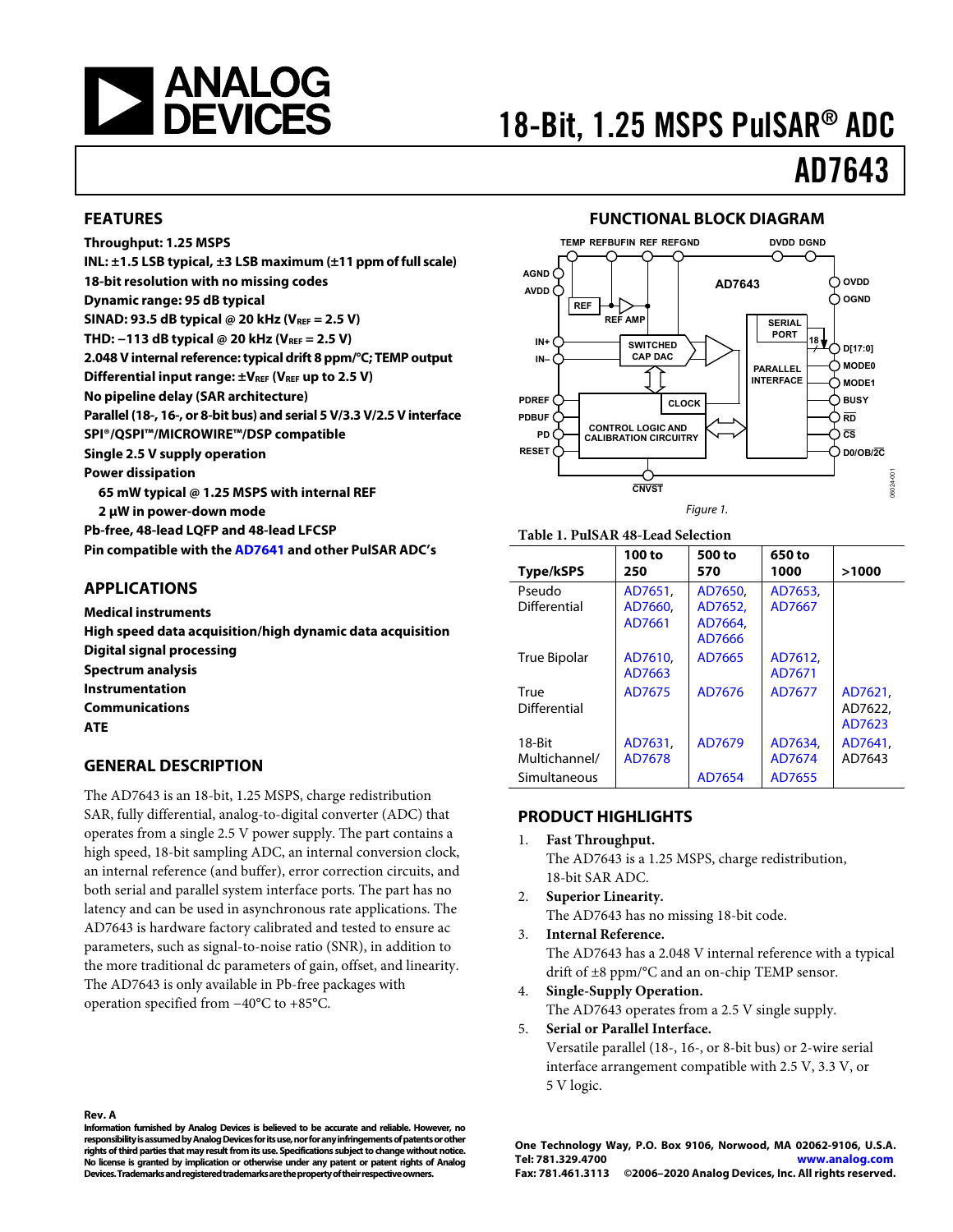<span id="page-0-0"></span>

# 18-Bit, 1.25 MSPS PulSAR® ADC

# AD7643

### **FEATURES**

**Throughput: 1.25 MSPS INL: ±1.5 LSB typical, ±3 LSB maximum (±11 ppm of full scale) 18-bit resolution with no missing codes Dynamic range: [95](#page-2-0) dB typical SINAD: [93.5](#page-2-1) dB typical @ 20 kHz (VREF = 2.5 V) THD: [−113](#page-2-2) dB typical @ 20 kHz (VREF = 2.5 V) 2.048 V internal reference: typical drift [8](#page-2-3) ppm/°C; TEMP output**  Differential input range:  $\pm V_{REF}$  (V<sub>REF</sub> up to 2.5 V) **No pipeline delay (SAR architecture) Parallel (18-, 16-, or 8-bit bus) and serial 5 V/3.3 V/2.5 V interface SPI®/QSPI™/MICROWIRE™/DSP compatible Single 2.5 V supply operation Power dissipation [65](#page-3-0) mW typical @ [1.25](#page-2-4) MSPS with internal REF 2 μW in power-down mode Pb-free, 48-lead LQFP and 48-lead LFCSP Pin compatible with the [AD7641](http://www.analog.com/en/prod/0%2C2877%2CAD7641%2C00.html) and other PulSAR ADC's** 

### **APPLICATIONS**

**Medical instruments High speed data acquisition/high dynamic data acquisition Digital signal processing Spectrum analysis Instrumentation Communications ATE** 

## **GENERAL DESCRIPTION**

The AD7643 is an 18-bit, 1.25 MSPS, charge redistribution SAR, fully differential, analog-to-digital converter (ADC) that operates from a single 2.5 V power supply. The part contains a high speed, 18-bit sampling ADC, an internal conversion clock, an internal reference (and buffer), error correction circuits, and both serial and parallel system interface ports. The part has no latency and can be used in asynchronous rate applications. The AD7643 is hardware factory calibrated and tested to ensure ac parameters, such as signal-to-noise ratio (SNR), in addition to the more traditional dc parameters of gain, offset, and linearity. The AD7643 is only available in Pb-free packages with operation specified from −40°C to +85°C.

## **FUNCTIONAL BLOCK DIAGRAM**



## **Table 1. PulSAR 48-Lead Selection**

| <b>Type/kSPS</b>                        | 100 to<br>250                | 500 to<br>570                           | 650 to<br>1000              | >1000                        |
|-----------------------------------------|------------------------------|-----------------------------------------|-----------------------------|------------------------------|
| Pseudo<br>Differential                  | AD7651.<br>AD7660.<br>AD7661 | AD7650.<br>AD7652.<br>AD7664.<br>AD7666 | AD7653,<br>AD7667           |                              |
| <b>True Bipolar</b>                     | AD7610.<br>AD7663            | AD7665                                  | AD7612.<br>AD7671           |                              |
| True<br>Differential                    | AD7675                       | AD7676                                  | AD7677                      | AD7621.<br>AD7622.<br>AD7623 |
| 18-Bit<br>Multichannel/<br>Simultaneous | AD7631.<br>AD7678            | AD7679<br>AD7654                        | AD7634.<br>AD7674<br>AD7655 | AD7641.<br>AD7643            |

## **PRODUCT HIGHLIGHTS**

- 1. **Fast Throughput.** The AD7643 is a 1.25 MSPS, charge redistribution, 18-bit SAR ADC.
- 2. **Superior Linearity.**
- The AD7643 has no missing 18-bit code. 3. **Internal Reference.**
	- The AD7643 has a 2.048 V internal reference with a typical drift of ±8 ppm/°C and an on-chip TEMP sensor.
- 4. **Single-Supply Operation.** The AD7643 operates from a 2.5 V single supply.

5. **Serial or Parallel Interface.** Versatile parallel (18-, 16-, or 8-bit bus) or 2-wire serial interface arrangement compatible with 2.5 V, 3.3 V, or 5 V logic.

#### **Rev. A**

**Information furnished by Analog Devices is believed to be accurate and reliable. However, no responsibility is assumed by Analog Devices for its use, nor for any infringements of patents or other rights of third parties that may result from its use. Specifications subject to change without notice. No license is granted by implication or otherwise under any patent or patent rights of Analog Devices. Trademarks and registered trademarks are the property of their respective owners.**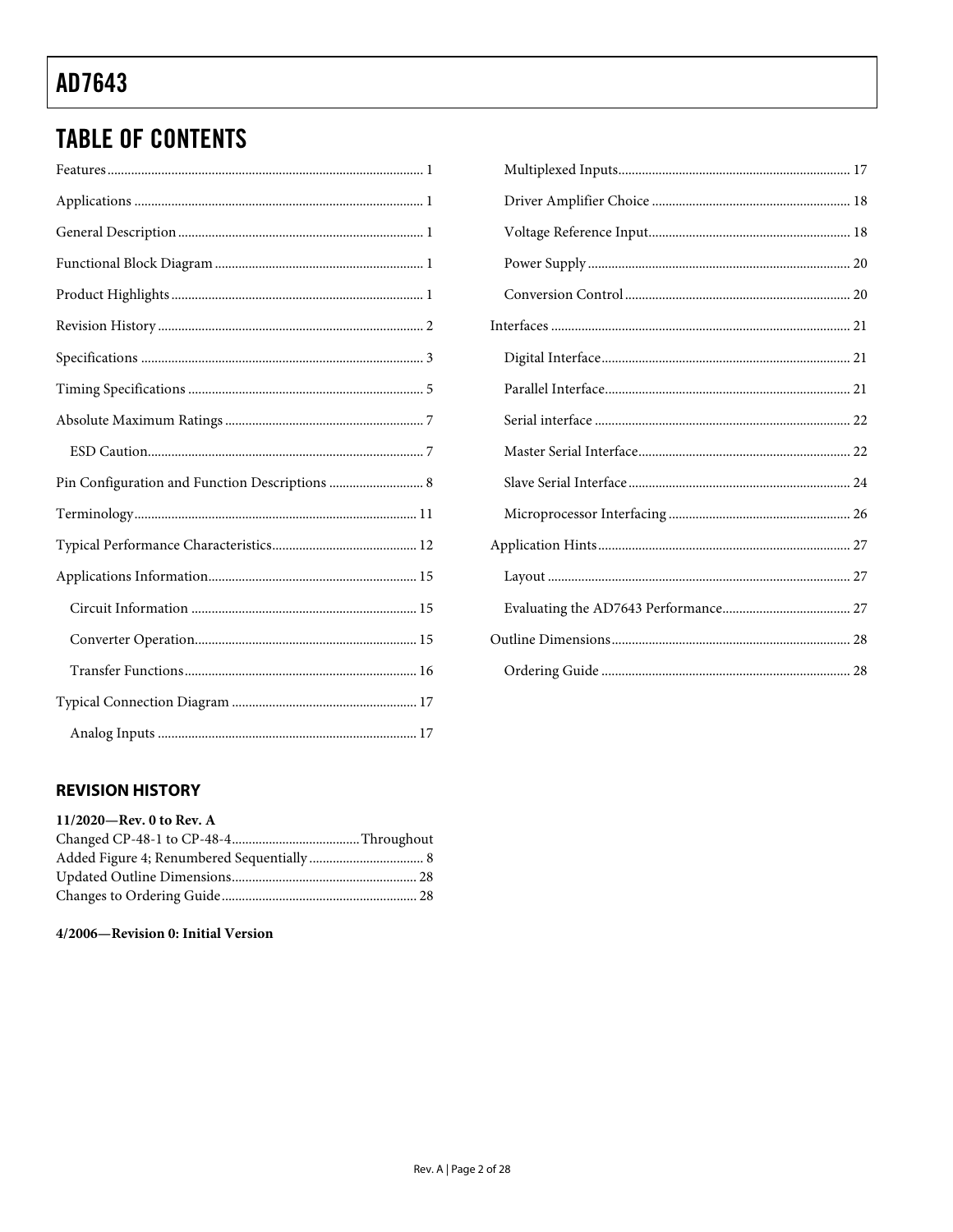## <span id="page-1-0"></span>**TABLE OF CONTENTS**

| Pin Configuration and Function Descriptions  8 |
|------------------------------------------------|
|                                                |
|                                                |
|                                                |
|                                                |
|                                                |
|                                                |
|                                                |
|                                                |

## 

## **REVISION HISTORY**

### 11/2020-Rev. 0 to Rev. A

### 4/2006-Revision 0: Initial Version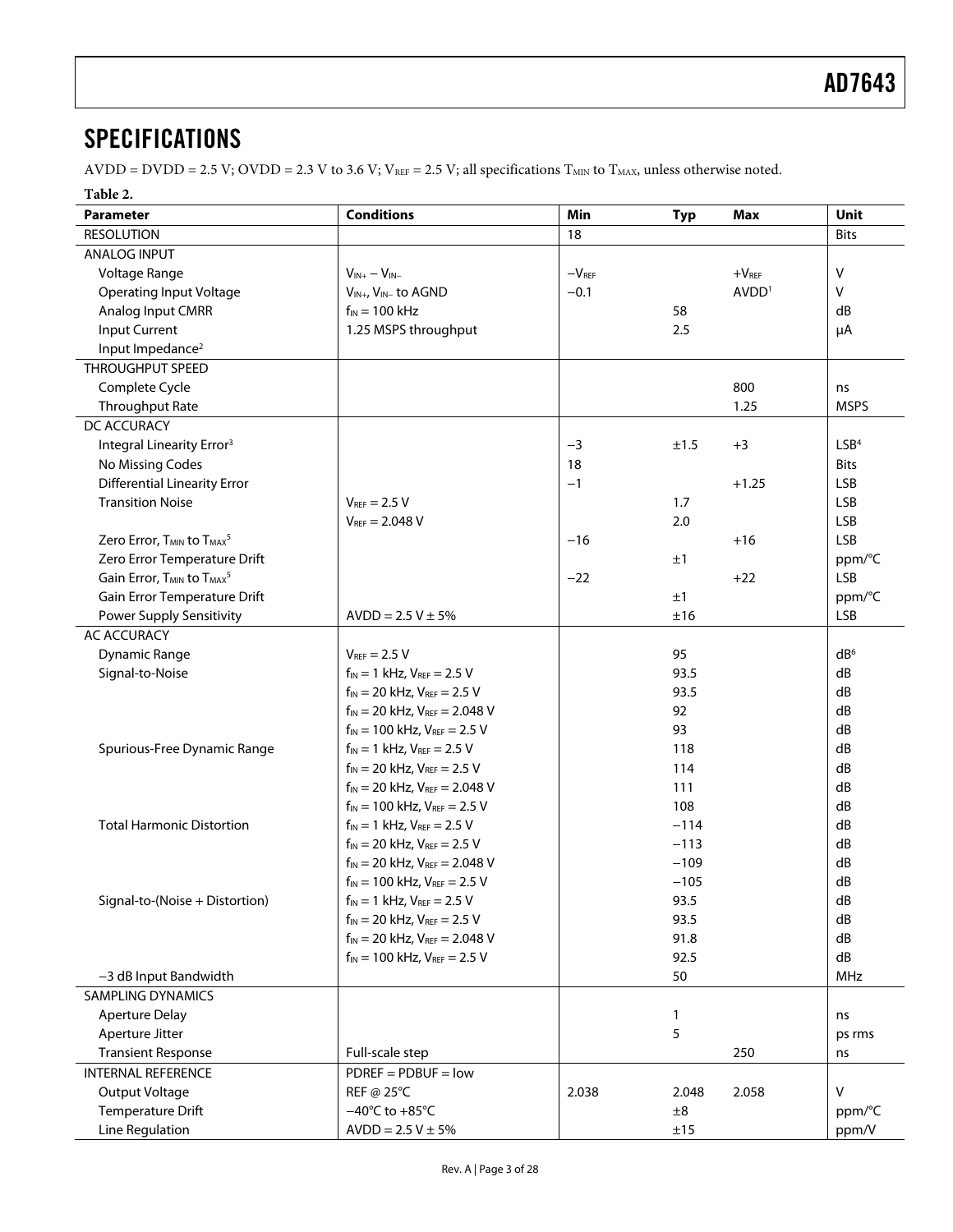## <span id="page-2-5"></span>**SPECIFICATIONS**

AVDD = DVDD = 2.5 V; OVDD = 2.3 V to 3.6 V; VREF = 2.5 V; all specifications  $T_{MIN}$  to  $T_{MAX}$ , unless otherwise noted.

### **Table 2.**

<span id="page-2-4"></span><span id="page-2-3"></span><span id="page-2-2"></span><span id="page-2-1"></span><span id="page-2-0"></span>

| Parameter                                                     | <b>Conditions</b>                           | Min     | <b>Typ</b> | Max               | <b>Unit</b>      |
|---------------------------------------------------------------|---------------------------------------------|---------|------------|-------------------|------------------|
| <b>RESOLUTION</b>                                             |                                             | 18      |            |                   | <b>Bits</b>      |
| <b>ANALOG INPUT</b>                                           |                                             |         |            |                   |                  |
| Voltage Range                                                 | $V_{IN+} - V_{IN-}$                         | $-VREF$ |            | $+VREF$           | $\vee$           |
| <b>Operating Input Voltage</b>                                | V <sub>IN+</sub> , V <sub>IN-</sub> to AGND | $-0.1$  |            | AVDD <sup>1</sup> | $\vee$           |
| Analog Input CMRR                                             | $f_{IN}$ = 100 kHz                          |         | 58         |                   | dB               |
| <b>Input Current</b>                                          | 1.25 MSPS throughput                        |         | 2.5        |                   | μA               |
| Input Impedance <sup>2</sup>                                  |                                             |         |            |                   |                  |
| <b>THROUGHPUT SPEED</b>                                       |                                             |         |            |                   |                  |
| Complete Cycle                                                |                                             |         |            | 800               | ns               |
| <b>Throughput Rate</b>                                        |                                             |         |            | 1.25              | <b>MSPS</b>      |
| DC ACCURACY                                                   |                                             |         |            |                   |                  |
| Integral Linearity Error <sup>3</sup>                         |                                             | $-3$    | ±1.5       | $+3$              | LSB <sup>4</sup> |
| No Missing Codes                                              |                                             | 18      |            |                   | <b>Bits</b>      |
| <b>Differential Linearity Error</b>                           |                                             | $-1$    |            | $+1.25$           | <b>LSB</b>       |
| <b>Transition Noise</b>                                       | $V_{REF} = 2.5 V$                           |         | 1.7        |                   | <b>LSB</b>       |
|                                                               | $V_{REF} = 2.048 V$                         |         | 2.0        |                   | <b>LSB</b>       |
| Zero Error, T <sub>MIN</sub> to T <sub>MAX</sub> <sup>5</sup> |                                             | $-16$   |            | $+16$             | <b>LSB</b>       |
| Zero Error Temperature Drift                                  |                                             |         | ±1         |                   | ppm/°C           |
| Gain Error, T <sub>MIN</sub> to T <sub>MAX</sub> <sup>5</sup> |                                             | $-22$   |            | $+22$             | <b>LSB</b>       |
| Gain Error Temperature Drift                                  |                                             |         | ±1         |                   | ppm/°C           |
| <b>Power Supply Sensitivity</b>                               | $AVDD = 2.5 V \pm 5%$                       |         | ±16        |                   | <b>LSB</b>       |
| <b>AC ACCURACY</b>                                            |                                             |         |            |                   |                  |
| <b>Dynamic Range</b>                                          | $V_{REF}$ = 2.5 V                           |         | 95         |                   | dB <sup>6</sup>  |
| Signal-to-Noise                                               | $f_{IN} = 1$ kHz, $V_{REF} = 2.5$ V         |         | 93.5       |                   | dB               |
|                                                               | $f_{IN} = 20$ kHz, $V_{REF} = 2.5$ V        |         | 93.5       |                   | dB               |
|                                                               | $f_{IN}$ = 20 kHz, $V_{REF}$ = 2.048 V      |         | 92         |                   | dB               |
|                                                               | $f_{IN}$ = 100 kHz, $V_{REF}$ = 2.5 V       |         | 93         |                   | dB               |
| Spurious-Free Dynamic Range                                   | $f_{IN} = 1$ kHz, $V_{REF} = 2.5$ V         |         | 118        |                   | dB               |
|                                                               | $f_{IN} = 20$ kHz, $V_{REF} = 2.5$ V        |         | 114        |                   | dB               |
|                                                               | $f_{IN}$ = 20 kHz, $V_{REF}$ = 2.048 V      |         | 111        |                   | dB               |
|                                                               | $f_{IN}$ = 100 kHz, $V_{REF}$ = 2.5 V       |         | 108        |                   | dB               |
| <b>Total Harmonic Distortion</b>                              | $f_{IN} = 1$ kHz, $V_{REF} = 2.5$ V         |         | $-114$     |                   | dB               |
|                                                               | $f_{IN} = 20$ kHz, $V_{REF} = 2.5$ V        |         | $-113$     |                   | dB               |
|                                                               | $f_{IN}$ = 20 kHz, $V_{REF}$ = 2.048 V      |         | $-109$     |                   | dB               |
|                                                               | $f_{IN}$ = 100 kHz, $V_{REF}$ = 2.5 V       |         | $-105$     |                   | dB               |
| Signal-to-(Noise + Distortion)                                | $f_{IN} = 1$ kHz, $V_{REF} = 2.5$ V         |         | 93.5       |                   | dB               |
|                                                               | $f_{IN} = 20$ kHz, $V_{REF} = 2.5$ V        |         | 93.5       |                   | dB               |
|                                                               | $f_{IN}$ = 20 kHz, $V_{REF}$ = 2.048 V      |         | 91.8       |                   | dB               |
|                                                               | $f_{IN}$ = 100 kHz, $V_{REF}$ = 2.5 V       |         | 92.5       |                   | dB               |
| -3 dB Input Bandwidth                                         |                                             |         | 50         |                   | MHz              |
| <b>SAMPLING DYNAMICS</b>                                      |                                             |         |            |                   |                  |
| <b>Aperture Delay</b>                                         |                                             |         | 1          |                   | ns               |
| Aperture Jitter                                               |                                             |         | 5          |                   | ps rms           |
| <b>Transient Response</b>                                     | Full-scale step                             |         |            | 250               | ns               |
| <b>INTERNAL REFERENCE</b>                                     | $PDREF = PDBUF = low$                       |         |            |                   |                  |
| Output Voltage                                                | REF @ 25°C                                  | 2.038   | 2.048      | 2.058             | v                |
| <b>Temperature Drift</b>                                      | $-40^{\circ}$ C to $+85^{\circ}$ C          |         | $\pm 8$    |                   | ppm/°C           |
| Line Regulation                                               | $AVDD = 2.5 V ± 5%$                         |         | ±15        |                   | ppm/V            |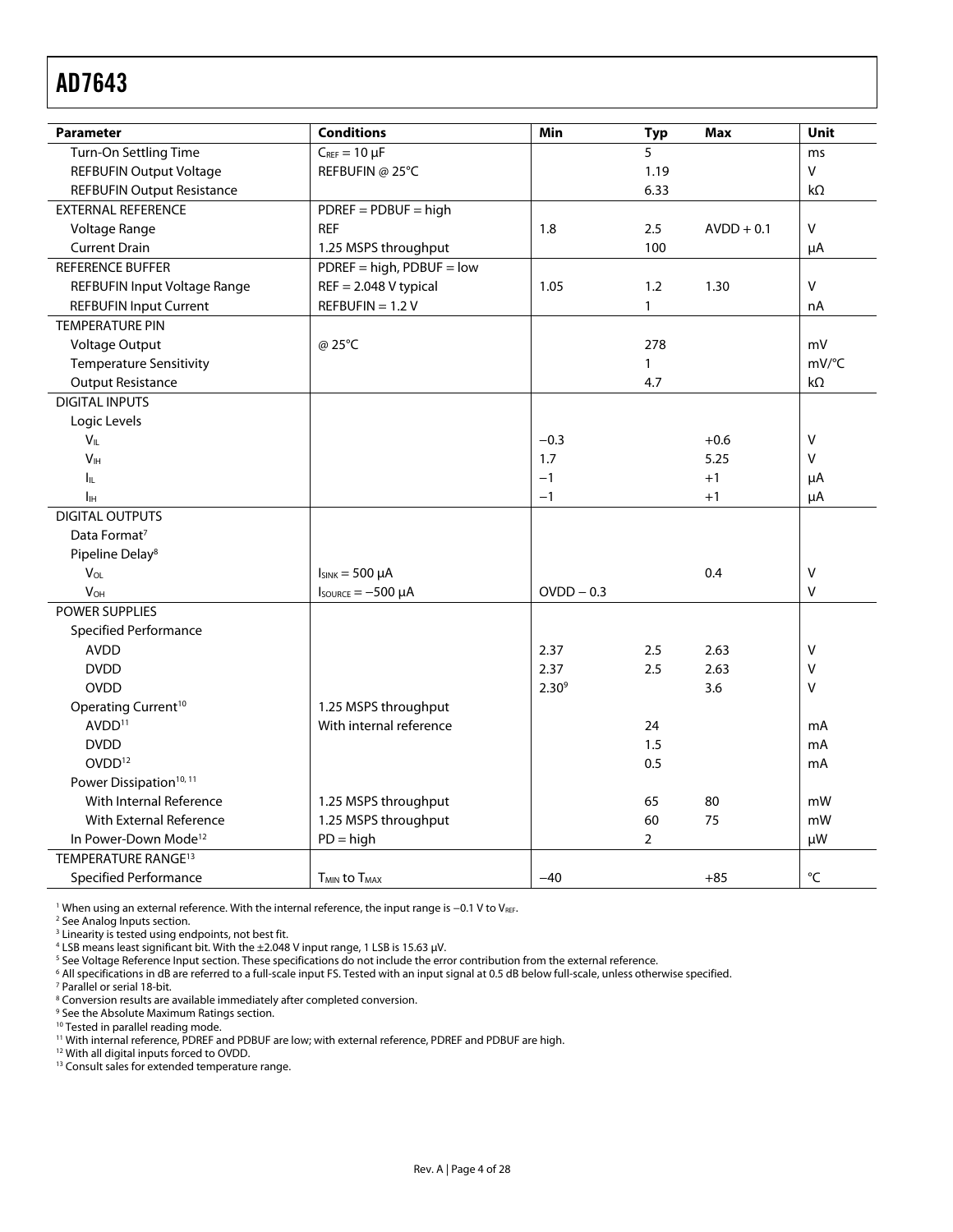<span id="page-3-2"></span><span id="page-3-1"></span>

| <b>Parameter</b>                      | <b>Conditions</b>                    | Min          | <b>Typ</b>     | <b>Max</b>   | <b>Unit</b>  |
|---------------------------------------|--------------------------------------|--------------|----------------|--------------|--------------|
| Turn-On Settling Time                 | $C_{REF} = 10 \mu F$                 |              | 5              |              | ms           |
| <b>REFBUFIN Output Voltage</b>        | REFBUFIN @ 25°C                      |              | 1.19           |              | $\mathsf{V}$ |
| <b>REFBUFIN Output Resistance</b>     |                                      |              | 6.33           |              | $k\Omega$    |
| <b>EXTERNAL REFERENCE</b>             | $PDREF = PDBUF = high$               |              |                |              |              |
| Voltage Range                         | <b>REF</b>                           | 1.8          | 2.5            | $AVDD + 0.1$ | V            |
| <b>Current Drain</b>                  | 1.25 MSPS throughput                 |              | 100            |              | μA           |
| <b>REFERENCE BUFFER</b>               | $PDREF = high, PDBUF = low$          |              |                |              |              |
| REFBUFIN Input Voltage Range          | $REF = 2.048$ V typical              | 1.05         | 1.2            | 1.30         | $\vee$       |
| <b>REFBUFIN Input Current</b>         | $REFBUFIN = 1.2 V$                   |              | $\mathbf{1}$   |              | nA           |
| <b>TEMPERATURE PIN</b>                |                                      |              |                |              |              |
| Voltage Output                        | @ 25°C                               |              | 278            |              | mV           |
| <b>Temperature Sensitivity</b>        |                                      |              | $\mathbf{1}$   |              | mV/°C        |
| <b>Output Resistance</b>              |                                      |              | 4.7            |              | $k\Omega$    |
| <b>DIGITAL INPUTS</b>                 |                                      |              |                |              |              |
| Logic Levels                          |                                      |              |                |              |              |
| $V_{IL}$                              |                                      | $-0.3$       |                | $+0.6$       | $\vee$       |
| V <sub>IH</sub>                       |                                      | 1.7          |                | 5.25         | V            |
| Ιı                                    |                                      | $-1$         |                | $+1$         | μA           |
| Iн                                    |                                      | $-1$         |                | $+1$         | μA           |
| <b>DIGITAL OUTPUTS</b>                |                                      |              |                |              |              |
| Data Format <sup>7</sup>              |                                      |              |                |              |              |
| Pipeline Delay <sup>8</sup>           |                                      |              |                |              |              |
| $V_{OL}$                              | $I_{SINK} = 500 \mu A$               |              |                | 0.4          | V            |
| <b>V<sub>OH</sub></b>                 | $I_{\text{SOWRCE}} = -500 \mu A$     | $OVDD - 0.3$ |                |              | V            |
| <b>POWER SUPPLIES</b>                 |                                      |              |                |              |              |
| Specified Performance                 |                                      |              |                |              |              |
| <b>AVDD</b>                           |                                      | 2.37         | 2.5            | 2.63         | V            |
| <b>DVDD</b>                           |                                      | 2.37         | 2.5            | 2.63         | V            |
| <b>OVDD</b>                           |                                      | $2.30^{9}$   |                | 3.6          | $\vee$       |
| Operating Current <sup>10</sup>       | 1.25 MSPS throughput                 |              |                |              |              |
| AVDD <sup>11</sup>                    | With internal reference              |              | 24             |              | mA           |
| <b>DVDD</b>                           |                                      |              | 1.5            |              | mA           |
| OVDD <sup>12</sup>                    |                                      |              | 0.5            |              | mA           |
| Power Dissipation <sup>10, 11</sup>   |                                      |              |                |              |              |
| With Internal Reference               | 1.25 MSPS throughput                 |              | 65             | 80           | mW           |
| With External Reference               | 1.25 MSPS throughput                 |              | 60             | 75           | mW           |
| In Power-Down Mode <sup>12</sup>      | $PD = high$                          |              | $\overline{2}$ |              | μW           |
| <b>TEMPERATURE RANGE<sup>13</sup></b> |                                      |              |                |              |              |
| <b>Specified Performance</b>          | T <sub>MIN</sub> to T <sub>MAX</sub> | $-40$        |                | $+85$        | °C           |

<span id="page-3-5"></span><span id="page-3-4"></span><span id="page-3-3"></span><span id="page-3-0"></span><sup>1</sup> When using an external reference. With the internal reference, the input range is −0.1 V to V<sub>REF</sub>.<br><sup>2</sup> Se[e Analog Inputs section.](#page-16-1)<br><sup>3</sup> Linearity is tested using endpoints, not best fit.

<sup>4</sup> LSB means least significant bit. With the ±2.048 V input range, 1 LSB is 15.63 μV.<br><sup>5</sup> See Voltage Reference Input section. These specifications do not include the err

 $^5$  See [Voltage Reference Input section.](#page-17-1) These specifications do not include the error contribution from the external reference.<br>6 All specifications in dB are referred to a full-scale input ES. Tested with an input sign

<sup>6</sup> All specifications in dB are referred to a full-scale input FS. Tested with an input signal at 0.5 dB below full-scale, unless otherwise specified.<br><sup>7</sup> Parallel or serial 18-bit

<sup>7</sup> Parallel or serial 18-bit.

<sup>8</sup> Conversion results are available immediately after completed conversion.<br><sup>9</sup> See the Absolute Maximum Batings section

 $9$  See the Absolute Maximum Ratings section.<br><sup>10</sup> Tested in parallel reading mode.

11 With internal reference, PDREF and PDBUF are low; with external reference, PDREF and PDBUF are high.<br><sup>12</sup> With all digital inputs forced to OVDD.

<sup>13</sup> Consult sales for extended temperature range.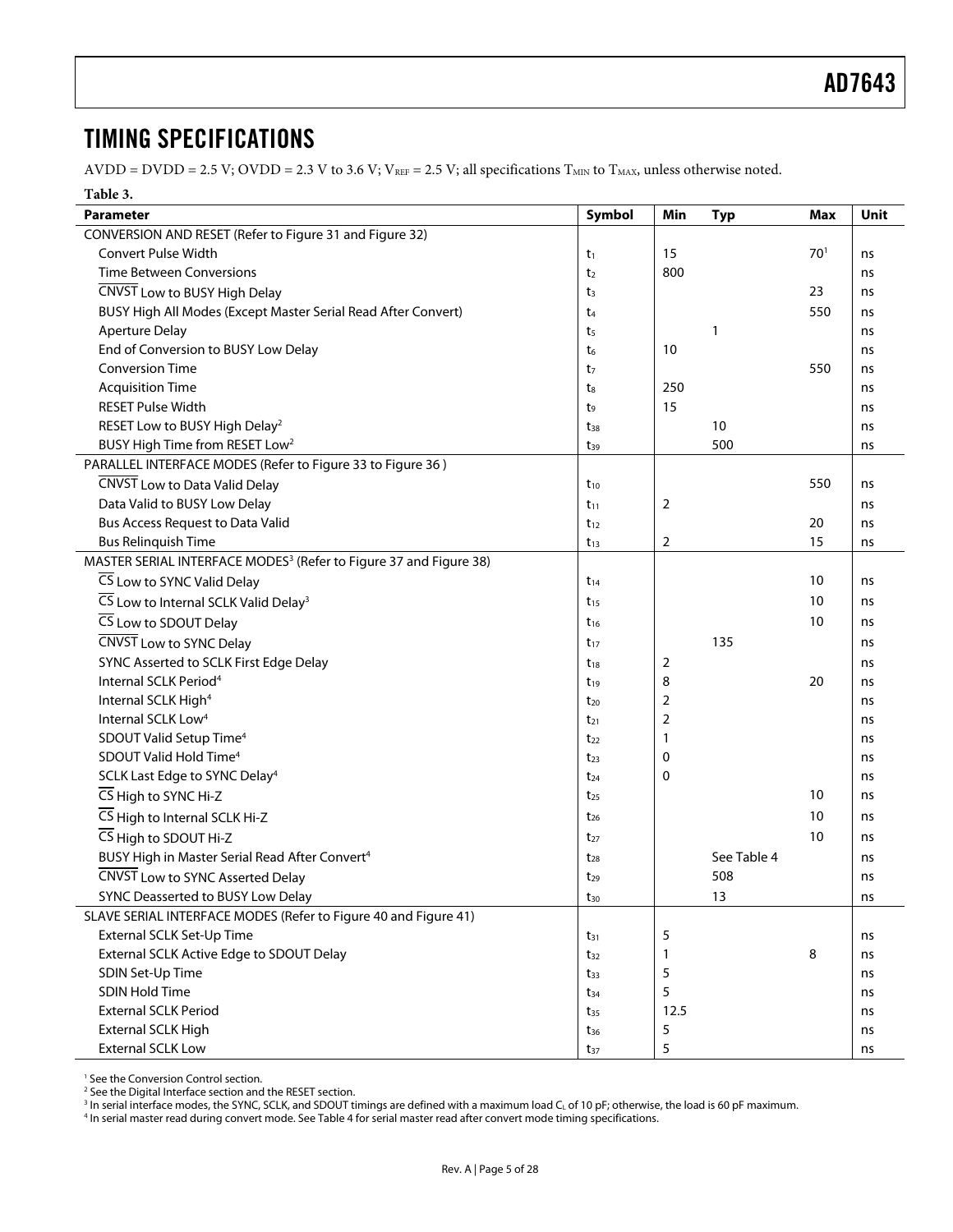## <span id="page-4-0"></span>TIMING SPECIFICATIONS

 $AVDD = DVD = 2.5 V; OVDD = 2.3 V to 3.6 V; V<sub>REF</sub> = 2.5 V; all specifications T<sub>MIN</sub> to T<sub>MAX</sub>, unless otherwise noted.$ 

#### **Table 3.**

<span id="page-4-2"></span><span id="page-4-1"></span>

| Parameter                                                                     | Symbol         | Min            | <b>Typ</b>  | <b>Max</b>      | Unit |
|-------------------------------------------------------------------------------|----------------|----------------|-------------|-----------------|------|
| CONVERSION AND RESET (Refer to Figure 31 and Figure 32)                       |                |                |             |                 |      |
| Convert Pulse Width                                                           | $t_1$          | 15             |             | 70 <sup>1</sup> | ns   |
| <b>Time Between Conversions</b>                                               | t <sub>2</sub> | 800            |             |                 | ns   |
| CNVST Low to BUSY High Delay                                                  | t <sub>3</sub> |                |             | 23              | ns   |
| BUSY High All Modes (Except Master Serial Read After Convert)                 | t <sub>4</sub> |                |             | 550             | ns   |
| <b>Aperture Delay</b>                                                         | t <sub>5</sub> |                | 1           |                 | ns   |
| End of Conversion to BUSY Low Delay                                           | t <sub>6</sub> | 10             |             |                 | ns   |
| <b>Conversion Time</b>                                                        | t <sub>7</sub> |                |             | 550             | ns   |
| <b>Acquisition Time</b>                                                       | t <sub>8</sub> | 250            |             |                 | ns   |
| <b>RESET Pulse Width</b>                                                      | t9             | 15             |             |                 | ns   |
| RESET Low to BUSY High Delay <sup>2</sup>                                     | $t_{38}$       |                | 10          |                 | ns   |
| BUSY High Time from RESET Low <sup>2</sup>                                    | $t_{39}$       |                | 500         |                 | ns   |
| PARALLEL INTERFACE MODES (Refer to Figure 33 to Figure 36)                    |                |                |             |                 |      |
| CNVST Low to Data Valid Delay                                                 | $t_{10}$       |                |             | 550             | ns   |
| Data Valid to BUSY Low Delay                                                  | $t_{11}$       | 2              |             |                 | ns   |
| Bus Access Request to Data Valid                                              | $t_{12}$       |                |             | 20              | ns   |
| <b>Bus Relinquish Time</b>                                                    | $t_{13}$       | $\overline{2}$ |             | 15              | ns   |
| MASTER SERIAL INTERFACE MODES <sup>3</sup> (Refer to Figure 37 and Figure 38) |                |                |             |                 |      |
| CS Low to SYNC Valid Delay                                                    | $t_{14}$       |                |             | 10              | ns   |
| CS Low to Internal SCLK Valid Delay <sup>3</sup>                              | $t_{15}$       |                |             | 10              | ns   |
| CS Low to SDOUT Delay                                                         | $t_{16}$       |                |             | 10              | ns   |
| CNVST Low to SYNC Delay                                                       | $t_{17}$       |                | 135         |                 | ns   |
| SYNC Asserted to SCLK First Edge Delay                                        | $t_{18}$       | 2              |             |                 | ns   |
| Internal SCLK Period <sup>4</sup>                                             | $t_{19}$       | 8              |             | 20              | ns   |
| Internal SCLK High <sup>4</sup>                                               | $t_{20}$       | 2              |             |                 | ns   |
| Internal SCLK Low <sup>4</sup>                                                | $t_{21}$       | 2              |             |                 | ns   |
| SDOUT Valid Setup Time <sup>4</sup>                                           | $t_{22}$       | 1              |             |                 | ns   |
| SDOUT Valid Hold Time <sup>4</sup>                                            | $t_{23}$       | 0              |             |                 | ns   |
| SCLK Last Edge to SYNC Delay <sup>4</sup>                                     | $t_{24}$       | $\mathbf 0$    |             |                 | ns   |
| CS High to SYNC Hi-Z                                                          | $t_{25}$       |                |             | 10              | ns   |
| CS High to Internal SCLK Hi-Z                                                 | $t_{26}$       |                |             | 10              | ns   |
| $\overline{CS}$ High to SDOUT Hi-Z                                            | $t_{27}$       |                |             | 10              | ns   |
| BUSY High in Master Serial Read After Convert <sup>4</sup>                    | $t_{28}$       |                | See Table 4 |                 | ns   |
| CNVST Low to SYNC Asserted Delay                                              | $t_{29}$       |                | 508         |                 | ns   |
| SYNC Deasserted to BUSY Low Delay                                             | $t_{30}$       |                | 13          |                 | ns   |
| SLAVE SERIAL INTERFACE MODES (Refer to Figure 40 and Figure 41)               |                |                |             |                 |      |
| External SCLK Set-Up Time                                                     | $t_{31}$       | 5              |             |                 | ns   |
| External SCLK Active Edge to SDOUT Delay                                      | $t_{32}$       | 1              |             | 8               | ns   |
| SDIN Set-Up Time                                                              | $t_{33}$       | 5              |             |                 | ns   |
| SDIN Hold Time                                                                | $t_{34}$       | 5              |             |                 | ns   |
| <b>External SCLK Period</b>                                                   | $t_{35}$       | 12.5           |             |                 | ns   |
| External SCLK High                                                            | $t_{36}$       | 5              |             |                 | ns   |
| <b>External SCLK Low</b>                                                      | $t_{37}$       | 5              |             |                 | ns   |

<span id="page-4-3"></span>1 See the [Conversion Control section.](#page-19-2) 

<sup>2</sup> See the Digital Interface section and the RESET section. <sup>2</sup> See the Digital Interface section and the RESET section.<br><sup>3</sup> In serial interface modes, the SYNC, SCLK, and SDOUT ti

<sup>3</sup> In serial interface modes, the SYNC, SCLK, and SDOUT timings are defined with a maximum load C<sub>L</sub> of 10 pF; otherwise, the load is 60 pF maximum.<br><sup>4</sup> In serial master read during convert mode. Se[e Table 4 fo](#page-5-1)r serial m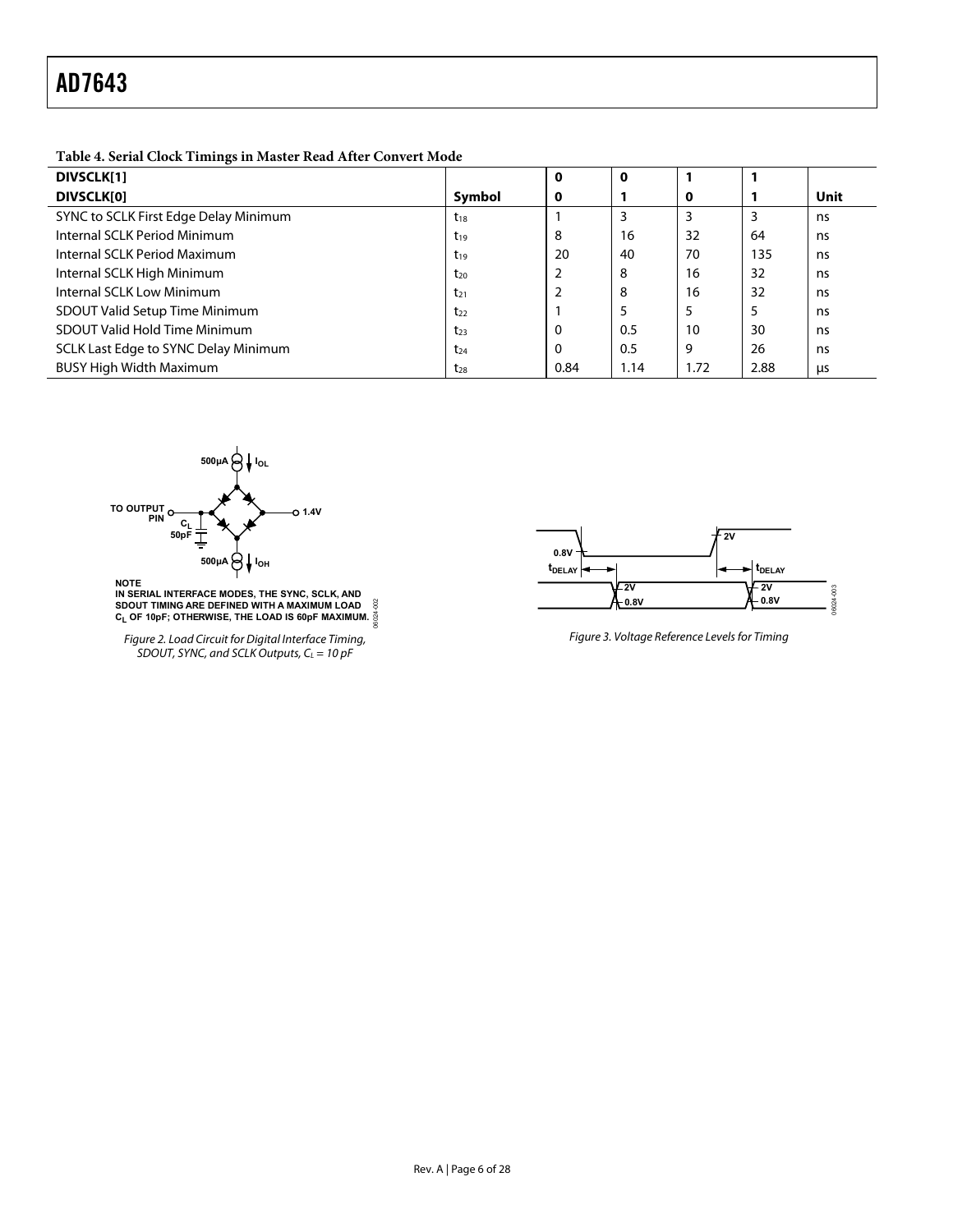<span id="page-5-1"></span>**Table 4. Serial Clock Timings in Master Read After Convert Mode** 

<span id="page-5-0"></span>

| ັ<br>DIVSCLK[1]                       |          | 0    |      |      |      |      |
|---------------------------------------|----------|------|------|------|------|------|
| DIVSCLK[0]                            | Symbol   | 0    |      | 0    |      | Unit |
| SYNC to SCLK First Edge Delay Minimum | $t_{18}$ |      |      |      |      | ns   |
| Internal SCLK Period Minimum          | $t_{19}$ | 8    | 16   | 32   | 64   | ns   |
| Internal SCLK Period Maximum          | $t_{19}$ | 20   | 40   | 70   | 135  | ns   |
| Internal SCLK High Minimum            | $t_{20}$ |      | 8    | 16   | 32   | ns   |
| Internal SCLK Low Minimum             | $t_{21}$ |      | 8    | 16   | 32   | ns   |
| <b>SDOUT Valid Setup Time Minimum</b> | $t_{22}$ |      |      | 5    | 5    | ns   |
| SDOUT Valid Hold Time Minimum         | $t_{23}$ | 0    | 0.5  | 10   | 30   | ns   |
| SCLK Last Edge to SYNC Delay Minimum  | $t_{24}$ | 0    | 0.5  | 9    | 26   | ns   |
| <b>BUSY High Width Maximum</b>        | $t_{28}$ | 0.84 | 1.14 | 1.72 | 2.88 | μs   |



**NOTE IN SERIAL INTERFACE MODES, THE SYNC, SCLK, AND SDOUT TIMING ARE DEFINED WITH A MAXIMUM LOAD CL OF 10pF; OTHERWISE, THE LOAD IS 60pF MAXIMUM.** 06024-002

Figure 2. Load Circuit for Digital Interface Timing, SDOUT, SYNC, and SCLK Outputs,  $C_L = 10$  pF



Figure 3. Voltage Reference Levels for Timing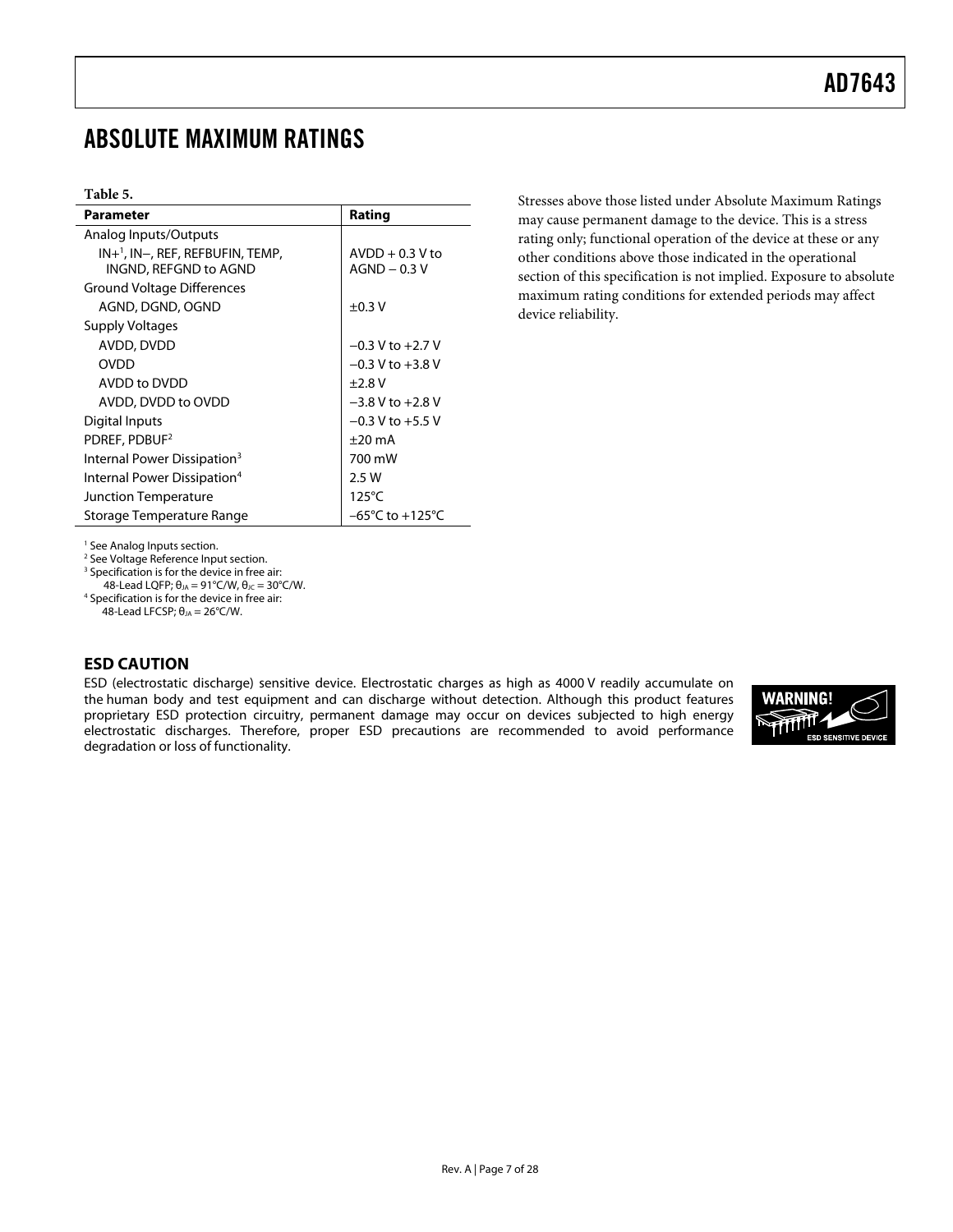## <span id="page-6-1"></span><span id="page-6-0"></span>ABSOLUTE MAXIMUM RATINGS

#### **Table 5.**

| <b>Parameter</b>                               | Rating                              |  |  |  |  |  |  |  |
|------------------------------------------------|-------------------------------------|--|--|--|--|--|--|--|
| Analog Inputs/Outputs                          |                                     |  |  |  |  |  |  |  |
| $IN+$ <sup>1</sup> , IN-, REF, REFBUFIN, TEMP, | $AVDD + 0.3 V$ to                   |  |  |  |  |  |  |  |
| INGND, REFGND to AGND                          | $AGND - 0.3$ V                      |  |  |  |  |  |  |  |
| <b>Ground Voltage Differences</b>              |                                     |  |  |  |  |  |  |  |
| AGND, DGND, OGND                               | $\pm 0.3$ V                         |  |  |  |  |  |  |  |
| Supply Voltages                                |                                     |  |  |  |  |  |  |  |
| AVDD, DVDD                                     | $-0.3$ V to $+2.7$ V                |  |  |  |  |  |  |  |
| <b>OVDD</b>                                    | $-0.3$ V to $+3.8$ V                |  |  |  |  |  |  |  |
| AVDD to DVDD                                   | $+2.8V$                             |  |  |  |  |  |  |  |
| AVDD, DVDD to OVDD                             | $-3.8$ V to $+2.8$ V                |  |  |  |  |  |  |  |
| Digital Inputs                                 | $-0.3$ V to $+5.5$ V                |  |  |  |  |  |  |  |
| PDREF, PDBUF <sup>2</sup>                      | $\pm 20$ mA                         |  |  |  |  |  |  |  |
| Internal Power Dissipation <sup>3</sup>        | 700 mW                              |  |  |  |  |  |  |  |
| Internal Power Dissipation <sup>4</sup>        | 2.5 W                               |  |  |  |  |  |  |  |
| <b>Junction Temperature</b>                    | $125^{\circ}$ C                     |  |  |  |  |  |  |  |
| Storage Temperature Range                      | $-65^{\circ}$ C to $+125^{\circ}$ C |  |  |  |  |  |  |  |

Stresses above those listed under Absolute Maximum Ratings may cause permanent damage to the device. This is a stress rating only; functional operation of the device at these or any other conditions above those indicated in the operational section of this specification is not implied. Exposure to absolute maximum rating conditions for extended periods may affect device reliability.

<span id="page-6-2"></span>1 Se[e Analog Inputs section.](#page-16-1) 

<span id="page-6-3"></span>2 Se[e Voltage Reference Input section.](#page-17-1) 

<span id="page-6-4"></span><sup>3</sup> Specification is for the device in free air:

48-Lead LQFP;  $\theta_{JA} = 91^{\circ}$ C/W,  $\theta_{JC} = 30^{\circ}$ C/W.

<span id="page-6-5"></span><sup>4</sup> Specification is for the device in free air:

48-Lead LFCSP;  $θ<sub>JA</sub> = 26°C/W$ .

## **ESD CAUTION**

ESD (electrostatic discharge) sensitive device. Electrostatic charges as high as 4000 V readily accumulate on the human body and test equipment and can discharge without detection. Although this product features proprietary ESD protection circuitry, permanent damage may occur on devices subjected to high energy electrostatic discharges. Therefore, proper ESD precautions are recommended to avoid performance degradation or loss of functionality.

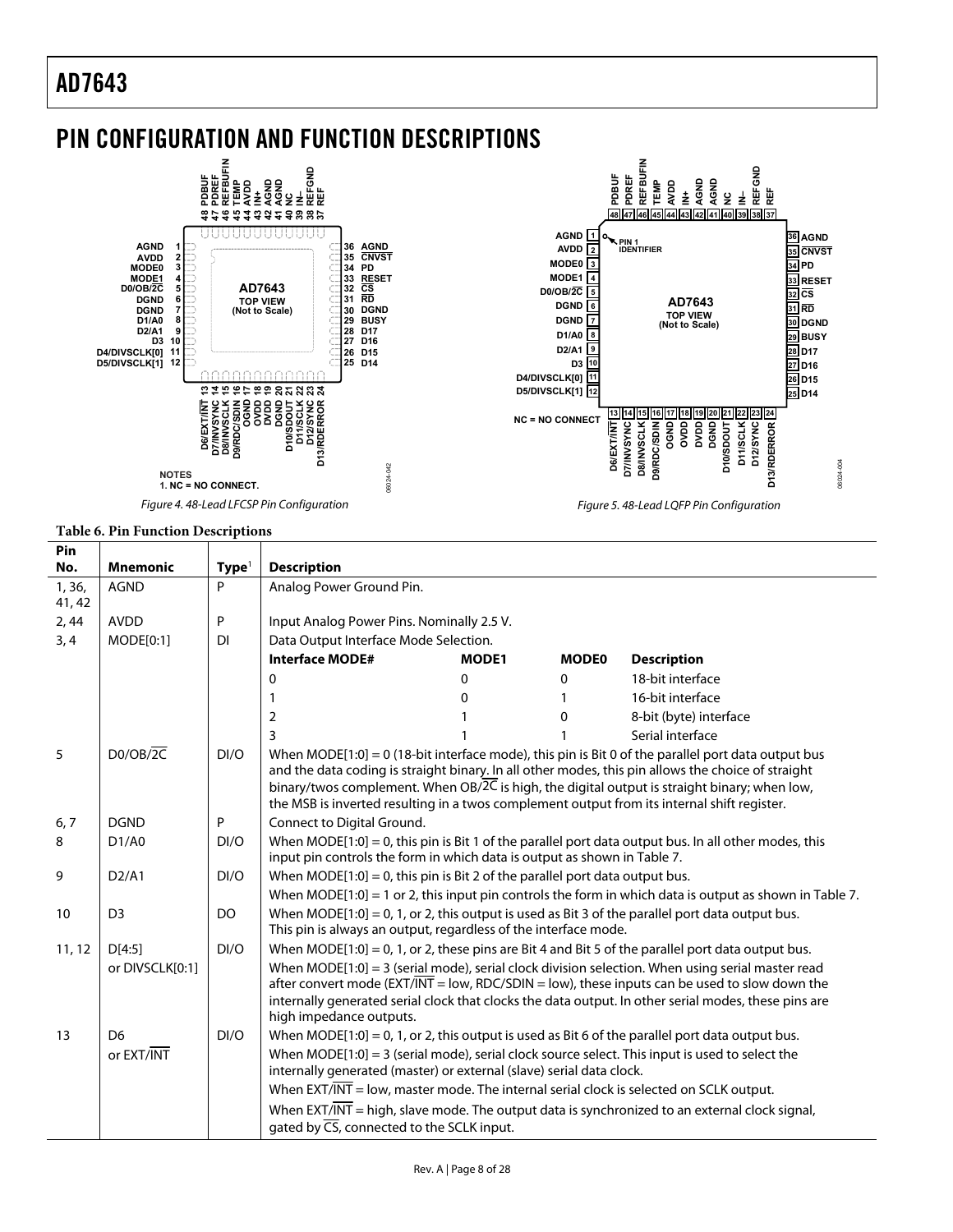## <span id="page-7-0"></span>PIN CONFIGURATION AND FUNCTION DESCRIPTIONS



#### **Table 6. Pin Function Descriptions**

| Pin              |                 |                   |                                                                                                                                                                                                                                                                                                                                                                                                         |                                                                                                                                                                       |              |                                                                                                           |  |  |  |  |
|------------------|-----------------|-------------------|---------------------------------------------------------------------------------------------------------------------------------------------------------------------------------------------------------------------------------------------------------------------------------------------------------------------------------------------------------------------------------------------------------|-----------------------------------------------------------------------------------------------------------------------------------------------------------------------|--------------|-----------------------------------------------------------------------------------------------------------|--|--|--|--|
| No.              | <b>Mnemonic</b> | Type <sup>1</sup> | <b>Description</b>                                                                                                                                                                                                                                                                                                                                                                                      |                                                                                                                                                                       |              |                                                                                                           |  |  |  |  |
| 1, 36,<br>41, 42 | <b>AGND</b>     | P                 | Analog Power Ground Pin.                                                                                                                                                                                                                                                                                                                                                                                |                                                                                                                                                                       |              |                                                                                                           |  |  |  |  |
| 2,44             | <b>AVDD</b>     | P                 | Input Analog Power Pins. Nominally 2.5 V.                                                                                                                                                                                                                                                                                                                                                               |                                                                                                                                                                       |              |                                                                                                           |  |  |  |  |
| 3, 4             | MODE[0:1]       | DI                | Data Output Interface Mode Selection.                                                                                                                                                                                                                                                                                                                                                                   |                                                                                                                                                                       |              |                                                                                                           |  |  |  |  |
|                  |                 |                   | <b>Interface MODE#</b>                                                                                                                                                                                                                                                                                                                                                                                  | MODE1                                                                                                                                                                 | <b>MODE0</b> | <b>Description</b>                                                                                        |  |  |  |  |
|                  |                 |                   | 0                                                                                                                                                                                                                                                                                                                                                                                                       | $\mathbf{0}$                                                                                                                                                          | O            | 18-bit interface                                                                                          |  |  |  |  |
|                  |                 |                   |                                                                                                                                                                                                                                                                                                                                                                                                         | 0                                                                                                                                                                     |              | 16-bit interface                                                                                          |  |  |  |  |
|                  |                 |                   | 2                                                                                                                                                                                                                                                                                                                                                                                                       |                                                                                                                                                                       | O            | 8-bit (byte) interface                                                                                    |  |  |  |  |
|                  |                 |                   | 3                                                                                                                                                                                                                                                                                                                                                                                                       |                                                                                                                                                                       |              | Serial interface                                                                                          |  |  |  |  |
| 5                | DO/OB/2C        | DI/O              | When MODE[1:0] = 0 (18-bit interface mode), this pin is Bit 0 of the parallel port data output bus<br>and the data coding is straight binary. In all other modes, this pin allows the choice of straight<br>binary/twos complement. When OB/2C is high, the digital output is straight binary; when low,<br>the MSB is inverted resulting in a twos complement output from its internal shift register. |                                                                                                                                                                       |              |                                                                                                           |  |  |  |  |
| 6, 7             | <b>DGND</b>     | P                 | Connect to Digital Ground.                                                                                                                                                                                                                                                                                                                                                                              |                                                                                                                                                                       |              |                                                                                                           |  |  |  |  |
| 8                | D1/AO           | DI/O              | When MODE[1:0] = 0, this pin is Bit 1 of the parallel port data output bus. In all other modes, this<br>input pin controls the form in which data is output as shown in Table 7.                                                                                                                                                                                                                        |                                                                                                                                                                       |              |                                                                                                           |  |  |  |  |
| 9                | D2/A1           | DI/O              | When $MODE[1:0] = 0$ , this pin is Bit 2 of the parallel port data output bus.                                                                                                                                                                                                                                                                                                                          |                                                                                                                                                                       |              |                                                                                                           |  |  |  |  |
|                  |                 |                   |                                                                                                                                                                                                                                                                                                                                                                                                         |                                                                                                                                                                       |              | When MODE $[1:0] = 1$ or 2, this input pin controls the form in which data is output as shown in Table 7. |  |  |  |  |
| 10               | D <sub>3</sub>  | DO                |                                                                                                                                                                                                                                                                                                                                                                                                         | When $MODE[1:0] = 0$ , 1, or 2, this output is used as Bit 3 of the parallel port data output bus.<br>This pin is always an output, regardless of the interface mode. |              |                                                                                                           |  |  |  |  |
| 11, 12           | D[4:5]          | DI/O              |                                                                                                                                                                                                                                                                                                                                                                                                         |                                                                                                                                                                       |              | When MODE[1:0] = 0, 1, or 2, these pins are Bit 4 and Bit 5 of the parallel port data output bus.         |  |  |  |  |
|                  | or DIVSCLK[0:1] |                   | When MODE[1:0] = 3 (serial mode), serial clock division selection. When using serial master read<br>after convert mode (EXT/INT = low, RDC/SDIN = low), these inputs can be used to slow down the<br>internally generated serial clock that clocks the data output. In other serial modes, these pins are<br>high impedance outputs.                                                                    |                                                                                                                                                                       |              |                                                                                                           |  |  |  |  |
| 13               | D <sub>6</sub>  | DI/O              | When $MODE[1:0] = 0$ , 1, or 2, this output is used as Bit 6 of the parallel port data output bus.                                                                                                                                                                                                                                                                                                      |                                                                                                                                                                       |              |                                                                                                           |  |  |  |  |
|                  | or EXT/INT      |                   | When $MODE[1:0] = 3$ (serial mode), serial clock source select. This input is used to select the<br>internally generated (master) or external (slave) serial data clock.                                                                                                                                                                                                                                |                                                                                                                                                                       |              |                                                                                                           |  |  |  |  |
|                  |                 |                   | When $EXT/INT = low$ , master mode. The internal serial clock is selected on SCLK output.                                                                                                                                                                                                                                                                                                               |                                                                                                                                                                       |              |                                                                                                           |  |  |  |  |
|                  |                 |                   | gated by $\overline{\text{CS}}$ , connected to the SCLK input.                                                                                                                                                                                                                                                                                                                                          |                                                                                                                                                                       |              | When $EXT/INT$ = high, slave mode. The output data is synchronized to an external clock signal,           |  |  |  |  |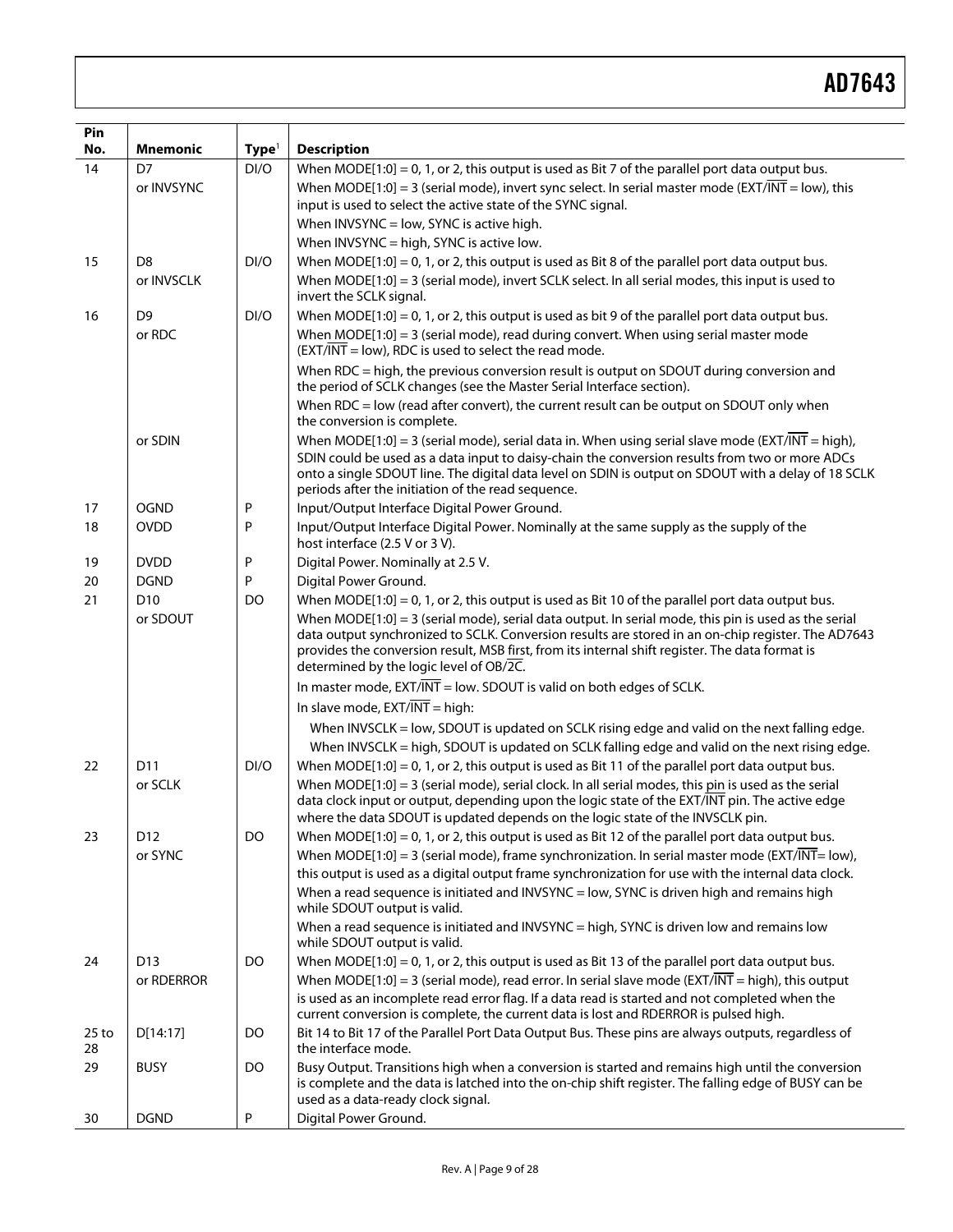| Pin           |                 |                   |                                                                                                                                                                                                                                                                                                                                                          |
|---------------|-----------------|-------------------|----------------------------------------------------------------------------------------------------------------------------------------------------------------------------------------------------------------------------------------------------------------------------------------------------------------------------------------------------------|
| No.           | <b>Mnemonic</b> | Type <sup>1</sup> | <b>Description</b>                                                                                                                                                                                                                                                                                                                                       |
| 14            | D7              | DI/O              | When MODE $[1:0] = 0$ , 1, or 2, this output is used as Bit 7 of the parallel port data output bus.                                                                                                                                                                                                                                                      |
|               | or INVSYNC      |                   | When MODE[1:0] = 3 (serial mode), invert sync select. In serial master mode (EXT/INT = low), this<br>input is used to select the active state of the SYNC signal.                                                                                                                                                                                        |
|               |                 |                   | When INVSYNC = low, SYNC is active high.                                                                                                                                                                                                                                                                                                                 |
|               |                 |                   | When INVSYNC = high, SYNC is active low.                                                                                                                                                                                                                                                                                                                 |
| 15            | D <sub>8</sub>  | DI/O              | When MODE[1:0] = 0, 1, or 2, this output is used as Bit 8 of the parallel port data output bus.                                                                                                                                                                                                                                                          |
|               | or INVSCLK      |                   | When $MODE[1:0] = 3$ (serial mode), invert SCLK select. In all serial modes, this input is used to<br>invert the SCLK signal.                                                                                                                                                                                                                            |
| 16            | D <sub>9</sub>  | DI/O              | When $MODE[1:0] = 0$ , 1, or 2, this output is used as bit 9 of the parallel port data output bus.                                                                                                                                                                                                                                                       |
|               | or RDC          |                   | When MODE[1:0] = 3 (serial mode), read during convert. When using serial master mode<br>(EXT/INT = low), RDC is used to select the read mode.                                                                                                                                                                                                            |
|               |                 |                   | When RDC = high, the previous conversion result is output on SDOUT during conversion and<br>the period of SCLK changes (see the Master Serial Interface section).                                                                                                                                                                                        |
|               |                 |                   | When RDC = low (read after convert), the current result can be output on SDOUT only when<br>the conversion is complete.                                                                                                                                                                                                                                  |
|               | or SDIN         |                   | When MODE[1:0] = 3 (serial mode), serial data in. When using serial slave mode (EXT/INT = high),                                                                                                                                                                                                                                                         |
|               |                 |                   | SDIN could be used as a data input to daisy-chain the conversion results from two or more ADCs<br>onto a single SDOUT line. The digital data level on SDIN is output on SDOUT with a delay of 18 SCLK<br>periods after the initiation of the read sequence.                                                                                              |
| 17            | <b>OGND</b>     | Ρ                 | Input/Output Interface Digital Power Ground.                                                                                                                                                                                                                                                                                                             |
| 18            | <b>OVDD</b>     | P                 | Input/Output Interface Digital Power. Nominally at the same supply as the supply of the<br>host interface (2.5 V or 3 V).                                                                                                                                                                                                                                |
| 19            | <b>DVDD</b>     | P                 | Digital Power. Nominally at 2.5 V.                                                                                                                                                                                                                                                                                                                       |
| 20            | <b>DGND</b>     | P                 | Digital Power Ground.                                                                                                                                                                                                                                                                                                                                    |
| 21            | D <sub>10</sub> | DO                | When $MODE[1:0] = 0$ , 1, or 2, this output is used as Bit 10 of the parallel port data output bus.                                                                                                                                                                                                                                                      |
|               | or SDOUT        |                   | When MODE[1:0] = 3 (serial mode), serial data output. In serial mode, this pin is used as the serial<br>data output synchronized to SCLK. Conversion results are stored in an on-chip register. The AD7643<br>provides the conversion result, MSB first, from its internal shift register. The data format is<br>determined by the logic level of OB/2C. |
|               |                 |                   | In master mode, $EXT/INT = low$ . SDOUT is valid on both edges of SCLK.                                                                                                                                                                                                                                                                                  |
|               |                 |                   | In slave mode, $EXT/INT = high$ :                                                                                                                                                                                                                                                                                                                        |
|               |                 |                   | When INVSCLK = low, SDOUT is updated on SCLK rising edge and valid on the next falling edge.                                                                                                                                                                                                                                                             |
|               |                 |                   | When INVSCLK = high, SDOUT is updated on SCLK falling edge and valid on the next rising edge.                                                                                                                                                                                                                                                            |
| 22            | D11             | DI/O              | When MODE $[1:0] = 0$ , 1, or 2, this output is used as Bit 11 of the parallel port data output bus.                                                                                                                                                                                                                                                     |
|               | or SCLK         |                   | When $MODE[1:0] = 3$ (serial mode), serial clock. In all serial modes, this pin is used as the serial<br>data clock input or output, depending upon the logic state of the EXT/INT pin. The active edge<br>where the data SDOUT is updated depends on the logic state of the INVSCLK pin.                                                                |
| 23            | D <sub>12</sub> | DO                | When MODE[1:0] = 0, 1, or 2, this output is used as Bit 12 of the parallel port data output bus.                                                                                                                                                                                                                                                         |
|               | or SYNC         |                   | When MODE[1:0] = 3 (serial mode), frame synchronization. In serial master mode (EXT/INT= low),<br>this output is used as a digital output frame synchronization for use with the internal data clock.                                                                                                                                                    |
|               |                 |                   | When a read sequence is initiated and INVSYNC = low, SYNC is driven high and remains high<br>while SDOUT output is valid.                                                                                                                                                                                                                                |
|               |                 |                   | When a read sequence is initiated and INVSYNC = high, SYNC is driven low and remains low<br>while SDOUT output is valid.                                                                                                                                                                                                                                 |
| 24            | D <sub>13</sub> | DO                | When $MODE[1:0] = 0$ , 1, or 2, this output is used as Bit 13 of the parallel port data output bus.                                                                                                                                                                                                                                                      |
|               | or RDERROR      |                   | When MODE[1:0] = 3 (serial mode), read error. In serial slave mode (EXT/INT = high), this output<br>is used as an incomplete read error flag. If a data read is started and not completed when the<br>current conversion is complete, the current data is lost and RDERROR is pulsed high.                                                               |
| $25$ to<br>28 | D[14:17]        | DO                | Bit 14 to Bit 17 of the Parallel Port Data Output Bus. These pins are always outputs, regardless of<br>the interface mode.                                                                                                                                                                                                                               |
| 29            | <b>BUSY</b>     | DO                | Busy Output. Transitions high when a conversion is started and remains high until the conversion<br>is complete and the data is latched into the on-chip shift register. The falling edge of BUSY can be<br>used as a data-ready clock signal.                                                                                                           |
| 30            | <b>DGND</b>     | P                 | Digital Power Ground.                                                                                                                                                                                                                                                                                                                                    |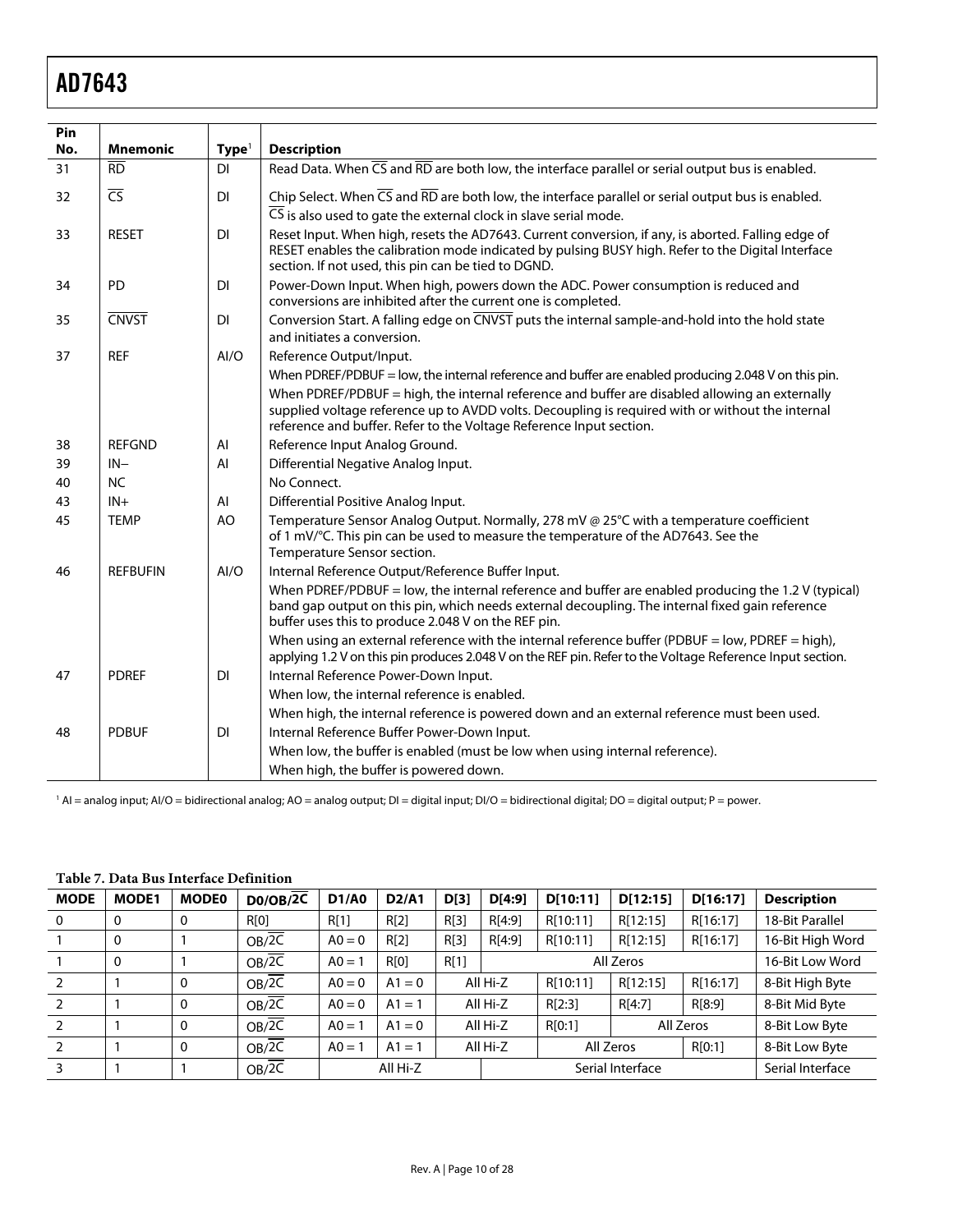<span id="page-9-2"></span><span id="page-9-0"></span>

| Pin |                        |                   |                                                                                                                                                                                                                                                                           |
|-----|------------------------|-------------------|---------------------------------------------------------------------------------------------------------------------------------------------------------------------------------------------------------------------------------------------------------------------------|
| No. | <b>Mnemonic</b>        | Type <sup>1</sup> | <b>Description</b>                                                                                                                                                                                                                                                        |
| 31  | $\overline{RD}$        | DI                | Read Data. When $\overline{CS}$ and $\overline{RD}$ are both low, the interface parallel or serial output bus is enabled.                                                                                                                                                 |
| 32  | $\overline{\text{CS}}$ | <b>DI</b>         | Chip Select. When $\overline{CS}$ and $\overline{RD}$ are both low, the interface parallel or serial output bus is enabled.                                                                                                                                               |
|     |                        |                   | CS is also used to gate the external clock in slave serial mode.                                                                                                                                                                                                          |
| 33  | <b>RESET</b>           | <b>DI</b>         | Reset Input. When high, resets the AD7643. Current conversion, if any, is aborted. Falling edge of<br>RESET enables the calibration mode indicated by pulsing BUSY high. Refer to the Digital Interface<br>section. If not used, this pin can be tied to DGND.            |
| 34  | PD                     | <b>DI</b>         | Power-Down Input. When high, powers down the ADC. Power consumption is reduced and<br>conversions are inhibited after the current one is completed.                                                                                                                       |
| 35  | <b>CNVST</b>           | <b>DI</b>         | Conversion Start. A falling edge on CNVST puts the internal sample-and-hold into the hold state                                                                                                                                                                           |
|     |                        |                   | and initiates a conversion.                                                                                                                                                                                                                                               |
| 37  | <b>REF</b>             | Al/O              | Reference Output/Input.                                                                                                                                                                                                                                                   |
|     |                        |                   | When PDREF/PDBUF = low, the internal reference and buffer are enabled producing 2.048 V on this pin.                                                                                                                                                                      |
|     |                        |                   | When PDREF/PDBUF = high, the internal reference and buffer are disabled allowing an externally<br>supplied voltage reference up to AVDD volts. Decoupling is required with or without the internal<br>reference and buffer. Refer to the Voltage Reference Input section. |
| 38  | <b>REFGND</b>          | AI                | Reference Input Analog Ground.                                                                                                                                                                                                                                            |
| 39  | $IN -$                 | AI                | Differential Negative Analog Input.                                                                                                                                                                                                                                       |
| 40  | <b>NC</b>              |                   | No Connect.                                                                                                                                                                                                                                                               |
| 43  | $IN +$                 | AI                | Differential Positive Analog Input.                                                                                                                                                                                                                                       |
| 45  | <b>TEMP</b>            | AO                | Temperature Sensor Analog Output. Normally, 278 mV @ 25°C with a temperature coefficient<br>of 1 mV/°C. This pin can be used to measure the temperature of the AD7643. See the<br>Temperature Sensor section.                                                             |
| 46  | <b>REFBUFIN</b>        | AI/O              | Internal Reference Output/Reference Buffer Input.                                                                                                                                                                                                                         |
|     |                        |                   | When PDREF/PDBUF = low, the internal reference and buffer are enabled producing the 1.2 V (typical)<br>band gap output on this pin, which needs external decoupling. The internal fixed gain reference<br>buffer uses this to produce 2.048 V on the REF pin.             |
|     |                        |                   | When using an external reference with the internal reference buffer (PDBUF = low, PDREF = high),<br>applying 1.2 V on this pin produces 2.048 V on the REF pin. Refer to the Voltage Reference Input section.                                                             |
| 47  | <b>PDREF</b>           | <b>DI</b>         | Internal Reference Power-Down Input.                                                                                                                                                                                                                                      |
|     |                        |                   | When low, the internal reference is enabled.                                                                                                                                                                                                                              |
|     |                        |                   | When high, the internal reference is powered down and an external reference must been used.                                                                                                                                                                               |
| 48  | <b>PDBUF</b>           | <b>DI</b>         | Internal Reference Buffer Power-Down Input.                                                                                                                                                                                                                               |
|     |                        |                   | When low, the buffer is enabled (must be low when using internal reference).                                                                                                                                                                                              |
|     |                        |                   | When high, the buffer is powered down.                                                                                                                                                                                                                                    |

 $^{\rm 1}$  AI = analog input; AI/O = bidirectional analog; AO = analog output; DI = digital input; DI/O = bidirectional digital; DO = digital output; P = power.

<span id="page-9-1"></span>

| <b>MODE</b>    | <b>MODE1</b> | <b>MODE0</b> | $D0/OB/\overline{2C}$ | <b>D1/A0</b> | D2/A1    | D[3]     | D[4:9]    | D[10:11]  | D[12:15]         | D[16:17]  | <b>Description</b> |
|----------------|--------------|--------------|-----------------------|--------------|----------|----------|-----------|-----------|------------------|-----------|--------------------|
| $\overline{0}$ | 0            | $\mathbf 0$  | R[0]                  | R[1]         | R[2]     | R[3]     | R[4:9]    | R[10:11]  | R[12:15]         | R[16:17]  | 18-Bit Parallel    |
|                | $\mathbf 0$  |              | OB/2C                 | $A0 = 0$     | R[2]     | R[3]     | R[4:9]    | R[10:11]  | R[12:15]         | R[16:17]  | 16-Bit High Word   |
|                | 0            |              | $OB/\overline{2C}$    | $A0 = 1$     | R[0]     | R[1]     | All Zeros |           |                  |           | 16-Bit Low Word    |
|                |              | $\Omega$     | $OB/\overline{2C}$    | $A0 = 0$     | $A1 = 0$ |          | All Hi-Z  | R[10:11]  | R[12:15]         | R[16:17]  | 8-Bit High Byte    |
|                |              | $\Omega$     | $OB/\overline{2C}$    | $A0 = 0$     | $A1 = 1$ |          | All Hi-Z  | R[2:3]    | R[4:7]           | R[8:9]    | 8-Bit Mid Byte     |
|                |              | $\Omega$     | $OB/\overline{2C}$    | $A0 = 7$     | $A1 = 0$ |          | All Hi-Z  | R[0:1]    |                  | All Zeros | 8-Bit Low Byte     |
|                |              | $\mathbf 0$  | $OB/\overline{2C}$    | $A0 = 1$     | $A1 = 1$ | All Hi-Z |           | All Zeros |                  | R[0:1]    | 8-Bit Low Byte     |
|                |              |              | $OB/\overline{2C}$    |              | All Hi-Z |          |           |           | Serial Interface |           | Serial Interface   |

## **Table 7. Data Bus Interface Definition**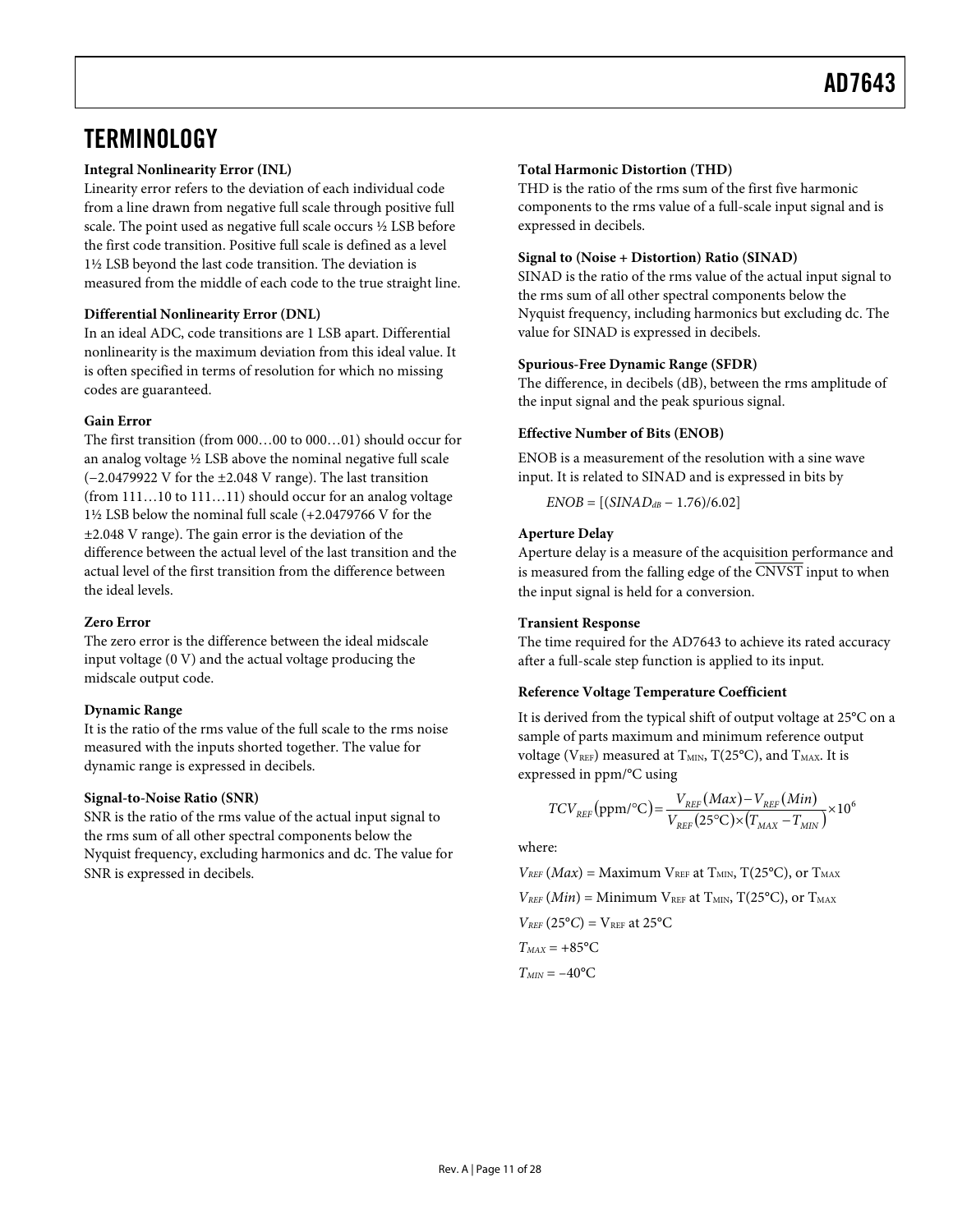## <span id="page-10-0"></span>**TERMINOLOGY**

### **Integral Nonlinearity Error (INL)**

Linearity error refers to the deviation of each individual code from a line drawn from negative full scale through positive full scale. The point used as negative full scale occurs ½ LSB before the first code transition. Positive full scale is defined as a level 1½ LSB beyond the last code transition. The deviation is measured from the middle of each code to the true straight line.

### **Differential Nonlinearity Error (DNL)**

In an ideal ADC, code transitions are 1 LSB apart. Differential nonlinearity is the maximum deviation from this ideal value. It is often specified in terms of resolution for which no missing codes are guaranteed.

### **Gain Error**

The first transition (from 000…00 to 000…01) should occur for an analog voltage ½ LSB above the nominal negative full scale (−2.0479922 V for the ±2.048 V range). The last transition (from 111…10 to 111…11) should occur for an analog voltage 1½ LSB below the nominal full scale (+2.0479766 V for the ±2.048 V range). The gain error is the deviation of the difference between the actual level of the last transition and the actual level of the first transition from the difference between the ideal levels.

### **Zero Error**

The zero error is the difference between the ideal midscale input voltage (0 V) and the actual voltage producing the midscale output code.

### **Dynamic Range**

It is the ratio of the rms value of the full scale to the rms noise measured with the inputs shorted together. The value for dynamic range is expressed in decibels.

### **Signal-to-Noise Ratio (SNR)**

SNR is the ratio of the rms value of the actual input signal to the rms sum of all other spectral components below the Nyquist frequency, excluding harmonics and dc. The value for SNR is expressed in decibels.

### **Total Harmonic Distortion (THD)**

THD is the ratio of the rms sum of the first five harmonic components to the rms value of a full-scale input signal and is expressed in decibels.

### **Signal to (Noise + Distortion) Ratio (SINAD)**

SINAD is the ratio of the rms value of the actual input signal to the rms sum of all other spectral components below the Nyquist frequency, including harmonics but excluding dc. The value for SINAD is expressed in decibels.

### **Spurious-Free Dynamic Range (SFDR)**

The difference, in decibels (dB), between the rms amplitude of the input signal and the peak spurious signal.

### **Effective Number of Bits (ENOB)**

ENOB is a measurement of the resolution with a sine wave input. It is related to SINAD and is expressed in bits by

 $ENOB = [(SINAD<sub>dB</sub> - 1.76)/6.02]$ 

### **Aperture Delay**

Aperture delay is a measure of the acquisition performance and is measured from the falling edge of the CNVST input to when the input signal is held for a conversion.

### **Transient Response**

The time required for the AD7643 to achieve its rated accuracy after a full-scale step function is applied to its input.

### **Reference Voltage Temperature Coefficient**

It is derived from the typical shift of output voltage at 25°C on a sample of parts maximum and minimum reference output voltage ( $V_{REF}$ ) measured at  $T_{MIN}$ ,  $T(25^{\circ}C)$ , and  $T_{MAX}$ . It is expressed in ppm/°C using

$$
TCV_{REF}\left(\text{ppm/}^{\circ}\text{C}\right) = \frac{V_{REF}\left(Max\right) - V_{REF}\left(Min\right)}{V_{REF}\left(25^{\circ}\text{C}\right) \times \left(T_{MAX} - T_{MIN}\right)} \times 10^{6}
$$

where:

 $V_{REF}(Max) =$  Maximum  $V_{REF}$  at  $T_{MIN}$ ,  $T(25^{\circ}C)$ , or  $T_{MAX}$  $V_{REF}(Min) =$  Minimum  $V_{REF}$  at  $T_{MIN}$ ,  $T(25^{\circ}C)$ , or  $T_{MAX}$  $V_{REF}$  (25°C) =  $V_{REF}$  at 25°C  $T_{MAX} = +85$ °C  $T_{MIN} = -40$ °C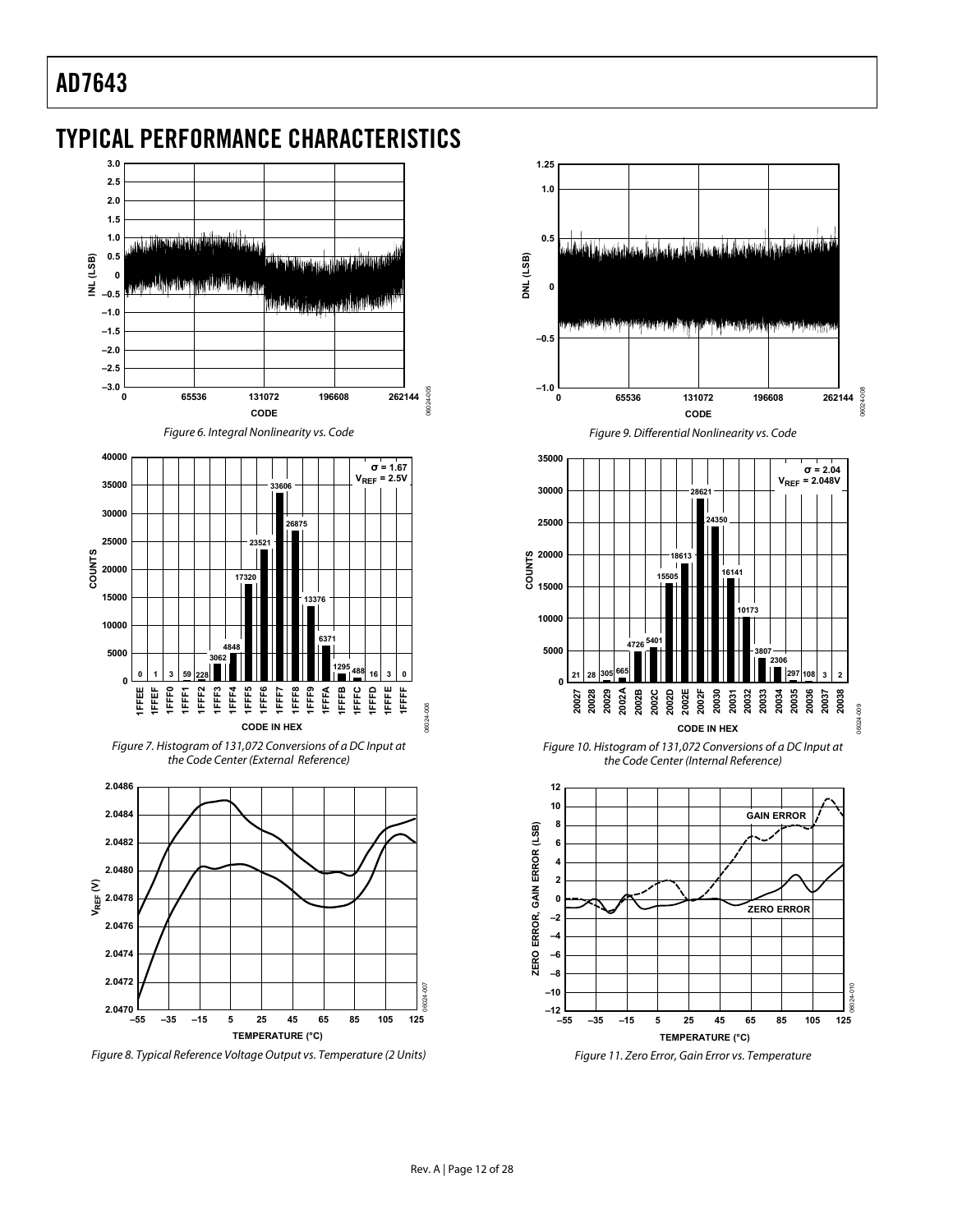## <span id="page-11-0"></span>TYPICAL PERFORMANCE CHARACTERISTICS



<span id="page-11-1"></span>Figure 8. Typical Reference Voltage Output vs. Temperature (2 Units)





Figure 11. Zero Error, Gain Error vs. Temperature

**TEMPERATURE (°C)**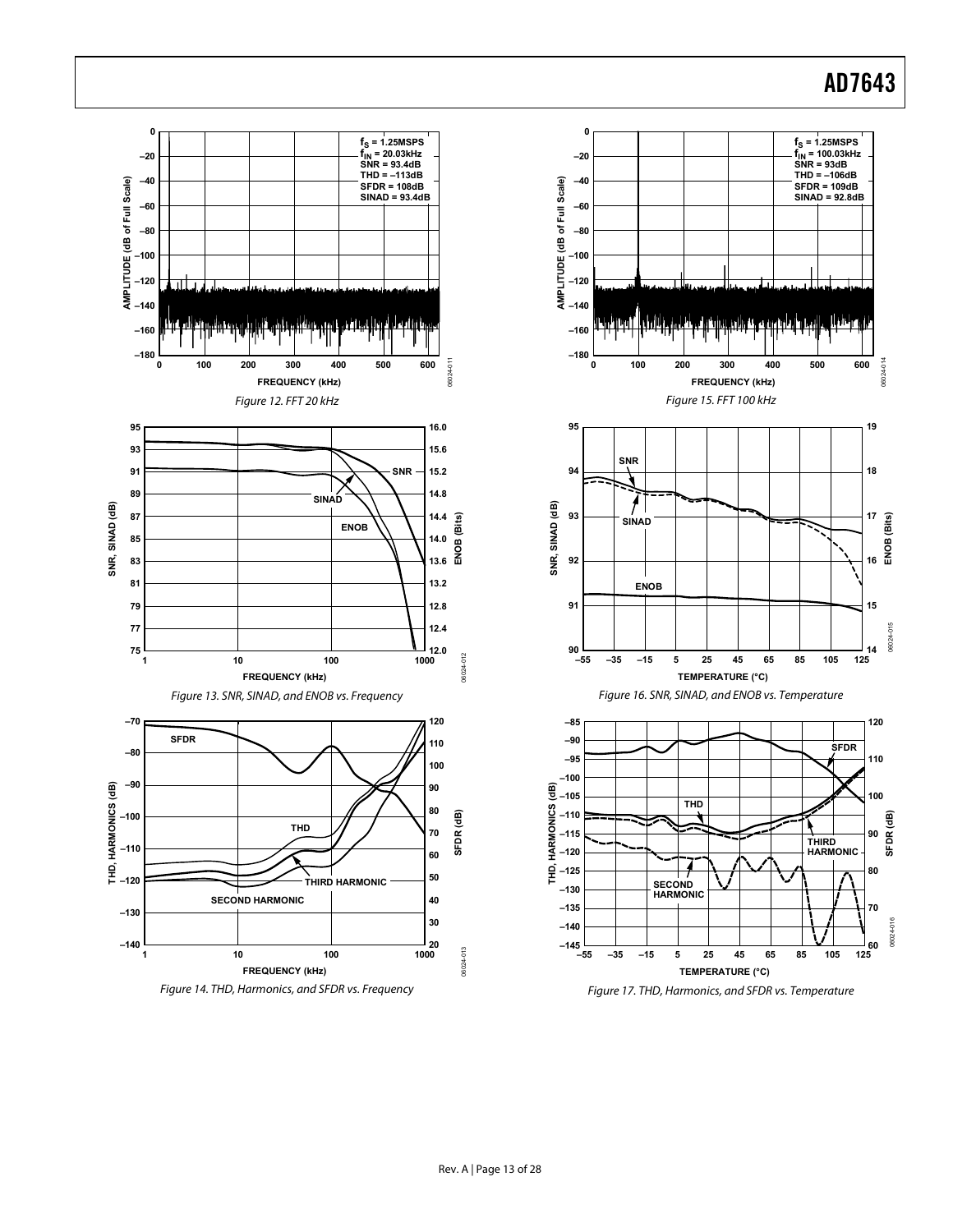<span id="page-12-0"></span>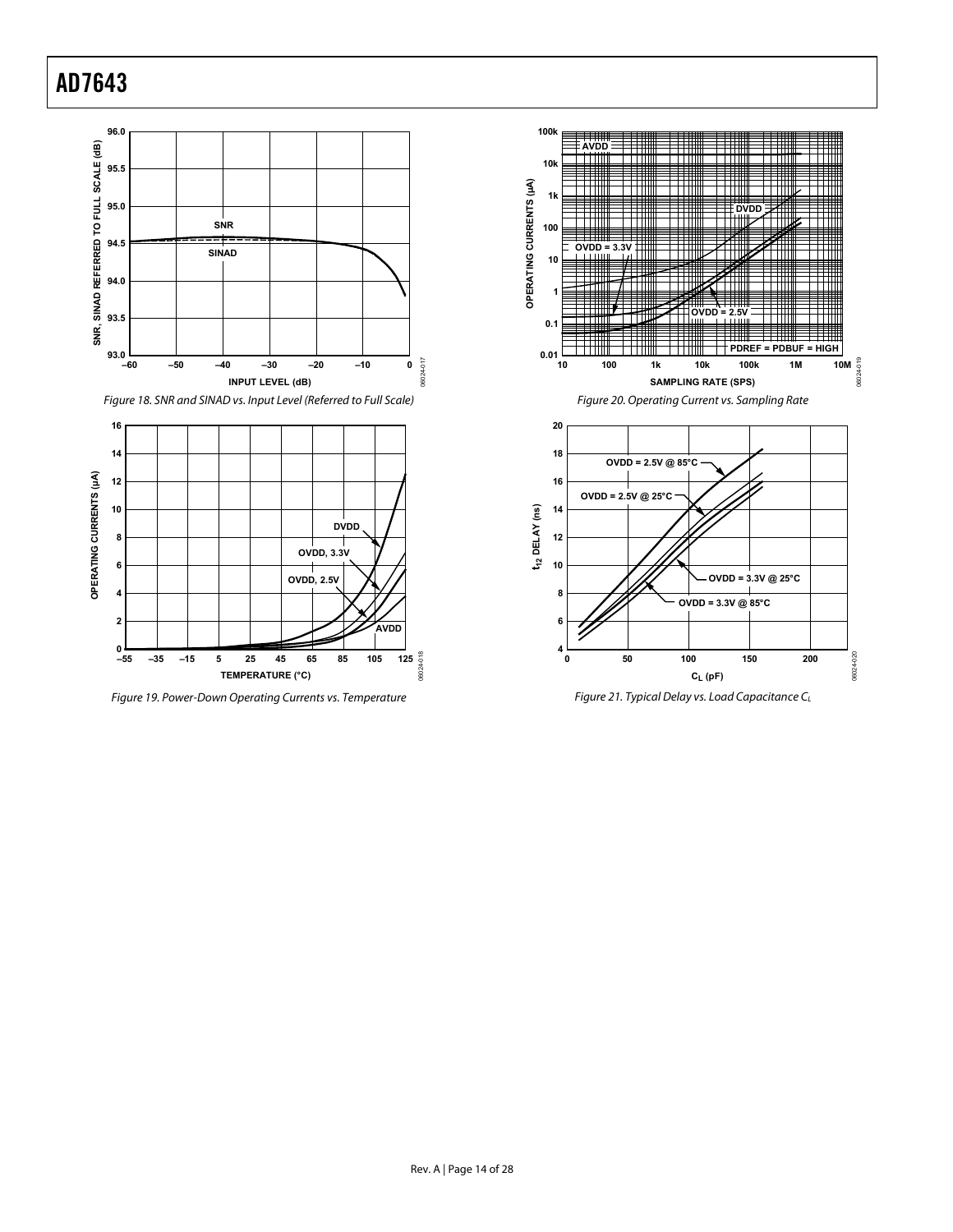



Figure 19. Power-Down Operating Currents vs. Temperature





Figure 21. Typical Delay vs. Load Capacitance CL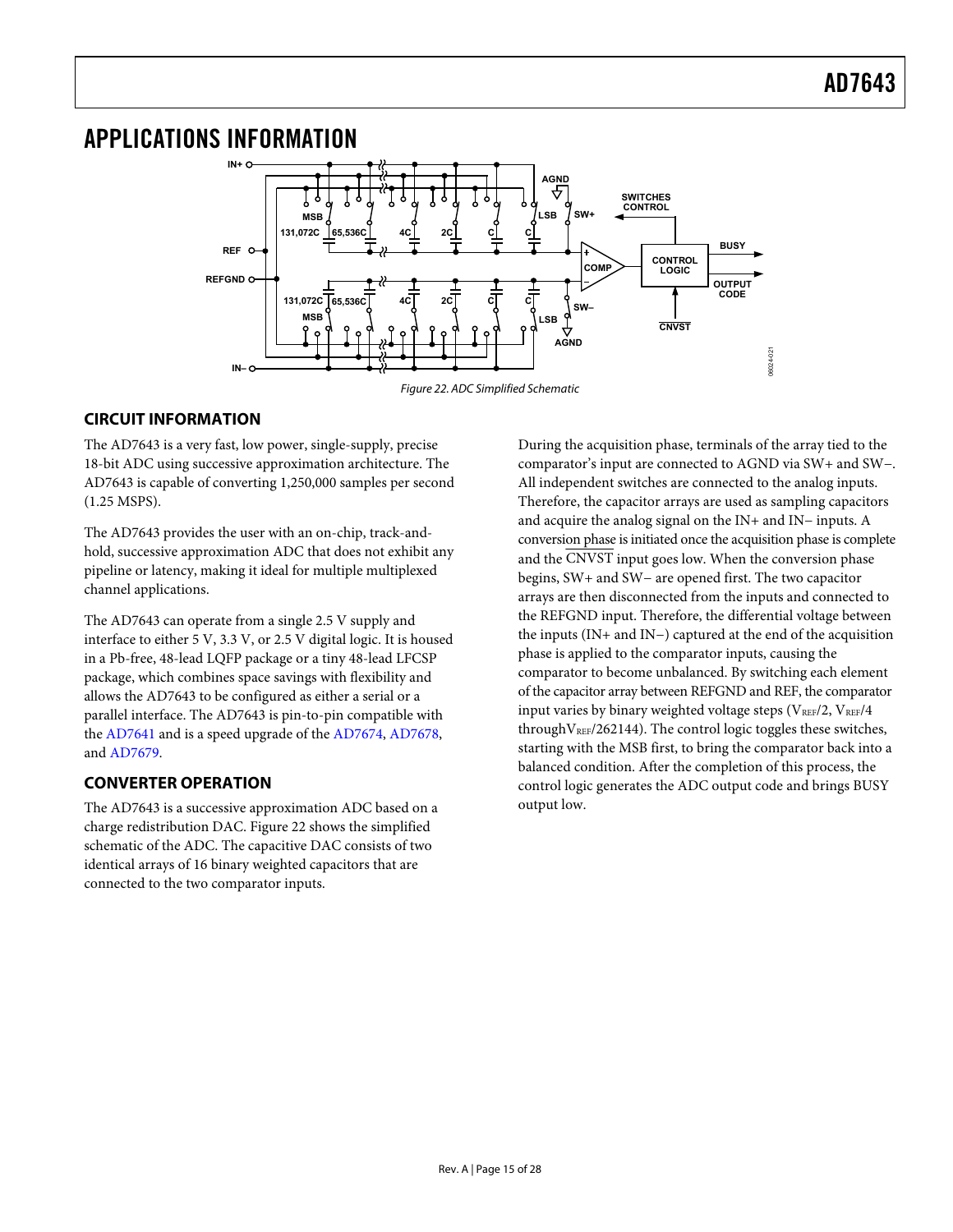## <span id="page-14-0"></span>APPLICATIONS INFORMATION



## <span id="page-14-1"></span>**CIRCUIT INFORMATION**

The AD7643 is a very fast, low power, single-supply, precise 18-bit ADC using successive approximation architecture. The AD7643 is capable of converting 1,250,000 samples per second (1.25 MSPS).

The AD7643 provides the user with an on-chip, track-andhold, successive approximation ADC that does not exhibit any pipeline or latency, making it ideal for multiple multiplexed channel applications.

The AD7643 can operate from a single 2.5 V supply and interface to either 5 V, 3.3 V, or 2.5 V digital logic. It is housed in a Pb-free, 48-lead LQFP package or a tiny 48-lead LFCSP package, which combines space savings with flexibility and allows the AD7643 to be configured as either a serial or a parallel interface. The AD7643 is pin-to-pin compatible with the [AD7641](http://www.analog.com/en/prod/0%2C2877%2CAD7641%2C00.html) and is a speed upgrade of the [AD7674,](http://www.analog.com/en/prod/0%2C2877%2CAD7674%2C00.html) [AD7678](http://www.analog.com/en/prod/0%2C2877%2CAD7678%2C00.html), and [AD7679](http://www.analog.com/en/prod/0%2C2877%2CAD7679%2C00.html).

## **CONVERTER OPERATION**

The AD7643 is a successive approximation ADC based on a charge redistribution DAC. [Figure 22](#page-14-1) shows the simplified schematic of the ADC. The capacitive DAC consists of two identical arrays of 16 binary weighted capacitors that are connected to the two comparator inputs.

During the acquisition phase, terminals of the array tied to the comparator's input are connected to AGND via SW+ and SW−. All independent switches are connected to the analog inputs. Therefore, the capacitor arrays are used as sampling capacitors and acquire the analog signal on the IN+ and IN− inputs. A conversion phase is initiated once the acquisition phase is complete and the CNVST input goes low. When the conversion phase begins, SW+ and SW− are opened first. The two capacitor arrays are then disconnected from the inputs and connected to the REFGND input. Therefore, the differential voltage between the inputs (IN+ and IN−) captured at the end of the acquisition phase is applied to the comparator inputs, causing the comparator to become unbalanced. By switching each element of the capacitor array between REFGND and REF, the comparator input varies by binary weighted voltage steps ( $V_{REF}/2$ ,  $V_{REF}/4$ through  $V_{REF}/262144$ ). The control logic toggles these switches, starting with the MSB first, to bring the comparator back into a balanced condition. After the completion of this process, the control logic generates the ADC output code and brings BUSY output low.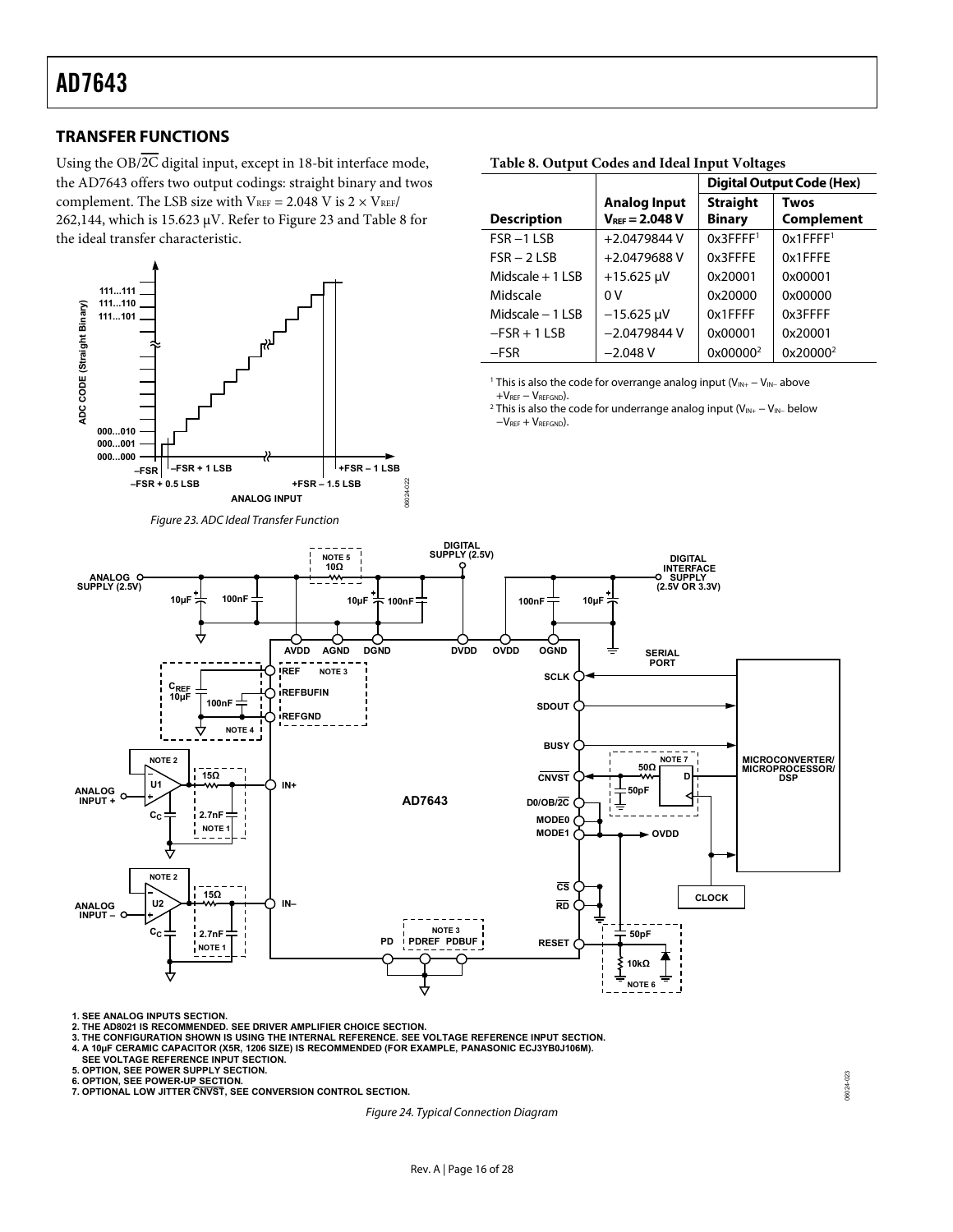## <span id="page-15-0"></span>**TRANSFER FUNCTIONS**

<span id="page-15-2"></span>Using the  $OB/\overline{2C}$  digital input, except in 18-bit interface mode, the AD7643 offers two output codings: straight binary and twos complement. The LSB size with  $V_{REF} = 2.048 \text{ V}$  is  $2 \times V_{REF}$ 262,144, which is 15.623  $\mu$ V. Refer to [Figure 23](#page-15-1) an[d Table 8](#page-15-2) for the ideal transfer characteristic.

<span id="page-15-4"></span><span id="page-15-3"></span>

|                    |                                            | <b>Digital Output Code (Hex)</b> |                           |
|--------------------|--------------------------------------------|----------------------------------|---------------------------|
| <b>Description</b> | <b>Analog Input</b><br>$V_{REF} = 2.048 V$ | <b>Straight</b><br><b>Binary</b> | <b>Twos</b><br>Complement |

FSR – 2 LSB +2.0479688 V 0x3FFFE 0x1FFFE Midscale + 1 LSB + 15.625 μV 0x20001 0x00001 Midscale 0 V 0x20000 0x00000 Midscale − 1 LSB −15.625 μV 0x1FFFF 0x3FFFF −FSR + 1 LSB −2.0479844 V 0x00001 0x20001

0x1FFFF[1](#page-15-3)

0x[2](#page-15-4)0000<sup>2</sup>

#### **Table 8. Output Codes and Ideal Input Voltages**

FSR −[1](#page-15-0) LSB +2.0479844 V 0x3FFFF<sup>1</sup>

−FSR −2.048 V 0x00000[2](#page-15-0)

<sup>1</sup> This is also the code for overrange analog input (V<sub>IN+</sub> – V<sub>IN</sub>− above

+V<sub>REF</sub> − V<sub>REFGND</sub>).<br><sup>2</sup> This is also the code for underrange analog input (V<sub>IN+</sub> − V<sub>IN−</sub> below  $-V<sub>REF</sub> + V<sub>REFGND</sub>$ ).

<span id="page-15-1"></span>

**1. SEE ANALOG INPUTS SECTION.**

**2. THE AD8021 IS RECOMMENDED. SEE DRIVER AMPLIFIER CHOICE SECTION.**

**3. THE CONFIGURATION SHOWN IS USING THE INTERNAL REFERENCE. SEE VOLTAGE REFERENCE INPUT SECTION.**

**4. A 10µF CERAMIC CAPACITOR (X5R, 1206 SIZE) IS RECOMMENDED (FOR EXAMPLE, PANASONIC ECJ3YB0J106M).**

**SEE VOLTAGE REFERENCE INPUT SECTION.**

**5. OPTION, SEE POWER SUPPLY SECTION.**

<span id="page-15-5"></span>**6. OPTION, SEE POWER-UP SECTION. 7. OPTIONAL LOW JITTER CNVST, SEE CONVERSION CONTROL SECTION.**

Figure 24. Typical Connection Diagram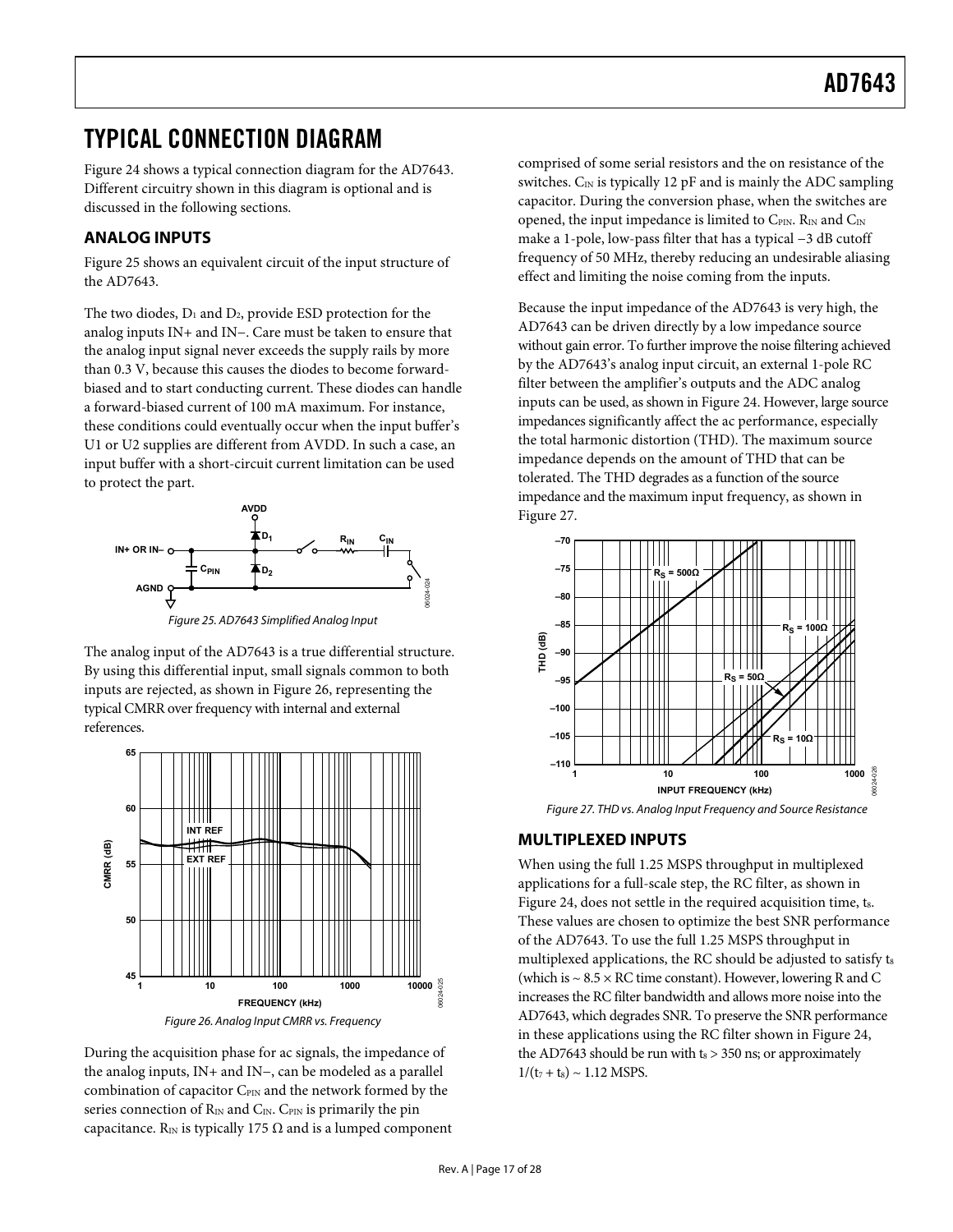## <span id="page-16-1"></span><span id="page-16-0"></span>TYPICAL CONNECTION DIAGRAM

[Figure 24](#page-15-5) shows a typical connection diagram for the AD7643. Different circuitry shown in this diagram is optional and is discussed in the following sections.

## **ANALOG INPUTS**

[Figure 25](#page-16-2) shows an equivalent circuit of the input structure of the AD7643.

The two diodes,  $D_1$  and  $D_2$ , provide ESD protection for the analog inputs IN+ and IN−. Care must be taken to ensure that the analog input signal never exceeds the supply rails by more than 0.3 V, because this causes the diodes to become forwardbiased and to start conducting current. These diodes can handle a forward-biased current of 100 mA maximum. For instance, these conditions could eventually occur when the input buffer's U1 or U2 supplies are different from AVDD. In such a case, an input buffer with a short-circuit current limitation can be used to protect the part.



Figure 25. AD7643 Simplified Analog Input

<span id="page-16-2"></span>The analog input of the AD7643 is a true differential structure. By using this differential input, small signals common to both inputs are rejected, as shown in [Figure 26](#page-16-3), representing the typical CMRR over frequency with internal and external references.

<span id="page-16-4"></span>

<span id="page-16-3"></span>During the acquisition phase for ac signals, the impedance of the analog inputs, IN+ and IN−, can be modeled as a parallel combination of capacitor  $C_{\text{PIN}}$  and the network formed by the series connection of  $R_{IN}$  and  $C_{IN}$ . C<sub>PIN</sub> is primarily the pin capacitance. R<sub>IN</sub> is typically 175  $\Omega$  and is a lumped component

comprised of some serial resistors and the on resistance of the switches.  $C_{IN}$  is typically 12 pF and is mainly the ADC sampling capacitor. During the conversion phase, when the switches are opened, the input impedance is limited to CPIN. RIN and CIN make a 1-pole, low-pass filter that has a typical −3 dB cutoff frequency of 50 MHz, thereby reducing an undesirable aliasing effect and limiting the noise coming from the inputs.

Because the input impedance of the AD7643 is very high, the AD7643 can be driven directly by a low impedance source without gain error. To further improve the noise filtering achieved by the AD7643's analog input circuit, an external 1-pole RC filter between the amplifier's o[utputs and](#page-15-5) the ADC analog inputs can be used, as shown in Figure 24. However, large source impedances significantly affect the ac performance, especially the total harmonic distortion (THD). The maximum source impedance depends on the amount of THD that can be tolerated. The THD degrades as a function of the source [impedanc](#page-16-4)e and the maximum input frequency, as shown in Figure 27.



Figure 27. THD vs. Analog Input Frequency and Source Resistance

## **MULTIPLEXED INPUTS**

When using the full 1.25 MSPS throughput in multiplexed [applicatio](#page-15-5)ns for a full-scale step, the RC filter, as shown in Figure 24, does not settle in the required acquisition time, t<sub>8</sub>. These values are chosen to optimize the best SNR performance of the AD7643. To use the full 1.25 MSPS throughput in multiplexed applications, the RC should be adjusted to satisfy ts (which is  $\sim 8.5 \times RC$  time constant). However, lowering R and C increases the RC filter bandwidth and allows more noise into the AD7643, which degrades SNR. To preserve the SN[R performa](#page-15-5)nce in these applications using the RC filter shown in Figure 24, the AD7643 should be run with  $t_8 > 350$  ns; or approximately  $1/(t_7 + t_8) \sim 1.12$  MSPS.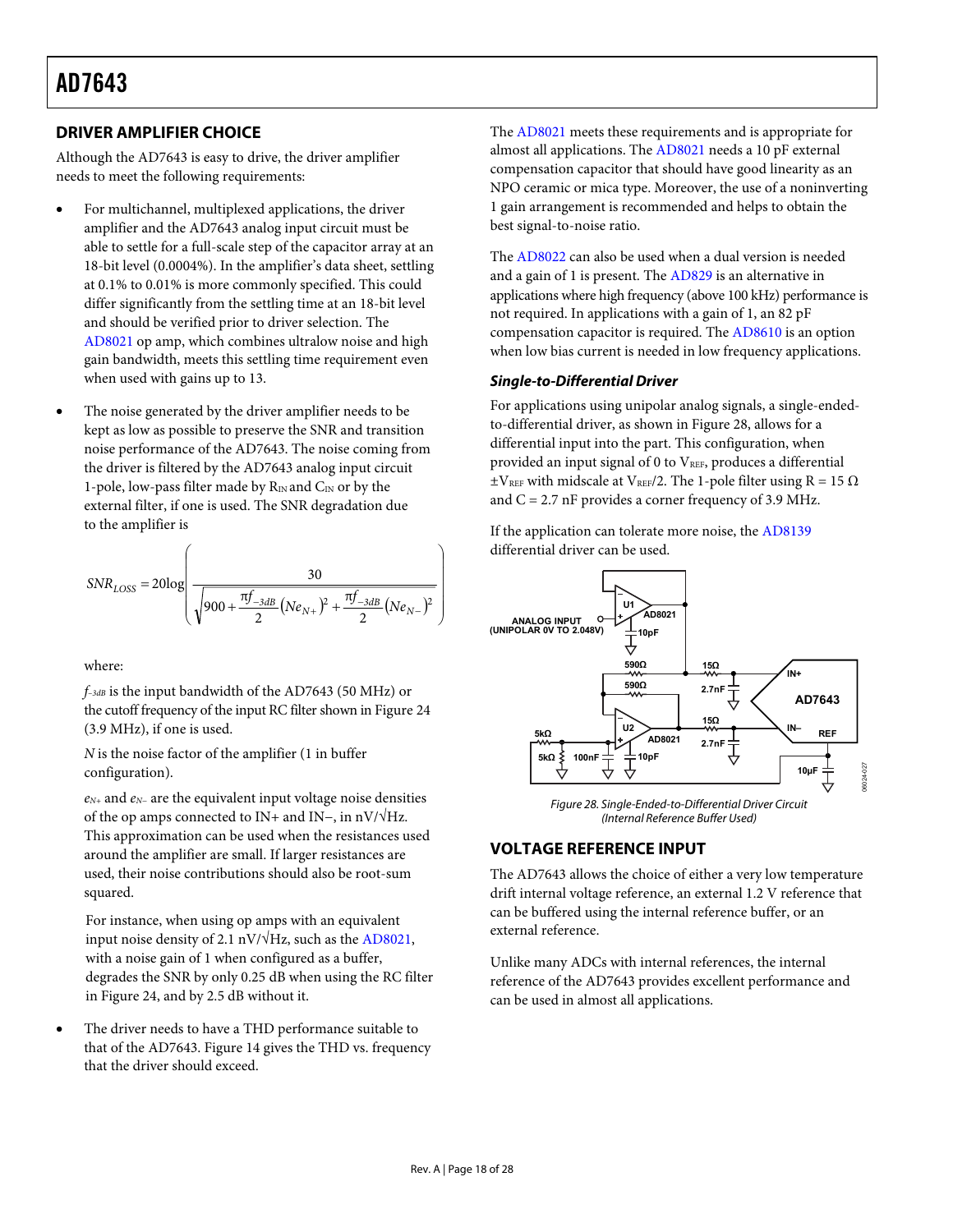## <span id="page-17-1"></span><span id="page-17-0"></span>**DRIVER AMPLIFIER CHOICE**

Although the AD7643 is easy to drive, the driver amplifier needs to meet the following requirements:

- For multichannel, multiplexed applications, the driver amplifier and the AD7643 analog input circuit must be able to settle for a full-scale step of the capacitor array at an 18-bit level (0.0004%). In the amplifier's data sheet, settling at 0.1% to 0.01% is more commonly specified. This could differ significantly from the settling time at an 18-bit level and should be verified prior to driver selection. The [AD8021](http://www.analog.com/Analog_Root/productPage/productHome/0,2121,AD8021,00.html) op amp, which combines ultralow noise and high gain bandwidth, meets this settling time requirement even when used with gains up to 13.
- The noise generated by the driver amplifier needs to be kept as low as possible to preserve the SNR and transition noise performance of the AD7643. The noise coming from the driver is filtered by the AD7643 analog input circuit 1-pole, low-pass filter made by  $R_{IN}$  and  $C_{IN}$  or by the external filter, if one is used. The SNR degradation due to the amplifier is

$$
SNR_{LOSS} = 20 \log \left( \frac{30}{\sqrt{900 + \frac{\pi f_{-3dB}}{2} (Ne_{N+})^2 + \frac{\pi f_{-3dB}}{2} (Ne_{N-})^2}} \right)
$$

where:

*f–3dB* is the input bandwidth of the AD7643 (50 MHz) or the cutoff frequency of the input RC filter shown in [Figure 24](#page-15-5) (3.9 MHz), if one is used.

*N* is the noise factor of the amplifier (1 in buffer configuration).

<span id="page-17-3"></span><span id="page-17-2"></span>*eN+* and *eN−* are the equivalent input voltage noise densities of the op amps connected to IN+ and IN−, in nV/√Hz. This approximation can be used when the resistances used around the amplifier are small. If larger resistances are used, their noise contributions should also be root-sum squared.

For instance, when using op amps with an equivalent input noise density of 2.1 nV/ $\sqrt{Hz}$ , such [as the AD](http://www.analog.com/en/prod/0%2C2877%2CAD8021%2C00.html)8021, with a noise gain of 1 when configured as a buffer, degrades the SNR by only 0.25 dB when using th[e RC filter](#page-15-5) in Figure 24, and by 2.5 dB without it.

 The driver needs to have a THD performance suitable to that of the AD7643. [Figure 14](#page-12-0) gives the THD vs. frequency that the driver should exceed.

The [AD8021](http://www.analog.com/Analog_Root/productPage/productHome/0%2C2121%2CAD8021%2C00.html) meets these requirements and is appropriate for almost all applications. The [AD8021](http://www.analog.com/Analog_Root/productPage/productHome/0%2C2121%2CAD8021%2C00.html) needs a 10 pF external compensation capacitor that should have good linearity as an NPO ceramic or mica type. Moreover, the use of a noninverting 1 gain arrangement is recommended and helps to obtain the best signal-to-noise ratio.

The [AD8022](http://www.analog.com/Analog_Root/productPage/productHome/0%2C2121%2CAD8022%2C00.html) can also be used when a dual version is needed and a gain of 1 is present. The [AD829](http://www.analog.com/Analog_Root/productPage/productHome/0%2C2121%2CAD829%2C00.html) is an alternative in applications where high frequency (above 100 kHz) performance is not required. In applications with a gain of 1, an 82 pF compensation capacitor is required. The [AD8610](http://www.analog.com/Analog_Root/productPage/productHome/0%2C2121%2CAD8610%2C00.html) is an option when low bias current is needed in low frequency applications.

### **Single-to-Differential Driver**

For applications using unipolar analog signals, a single-endedto-differential driver, as shown in [Figure 28](#page-17-3), allows for a differential input into the part. This configuration, when provided an input signal of 0 to VREF, produces a differential  $\pm$ V<sub>REF</sub> with midscale at V<sub>REF</sub>/2. The 1-pole filter using R = 15  $\Omega$ and  $C = 2.7$  nF provides a corner frequency of 3.9 MHz.

If the application can tolerate more noise, the [AD8139](http://www.analog.com/en/prod/0%2C2877%2CAD8139%2C00.html) differential driver can be used.



Figure 28. Single-Ended-to-Differential Driver Circuit (Internal Reference Buffer Used)

## **VOLTAGE REFERENCE INPUT**

The AD7643 allows the choice of either a very low temperature drift internal voltage reference, an external 1.2 V reference that can be buffered using the internal reference buffer, or an external reference.

Unlike many ADCs with internal references, the internal reference of the AD7643 provides excellent performance and can be used in almost all applications.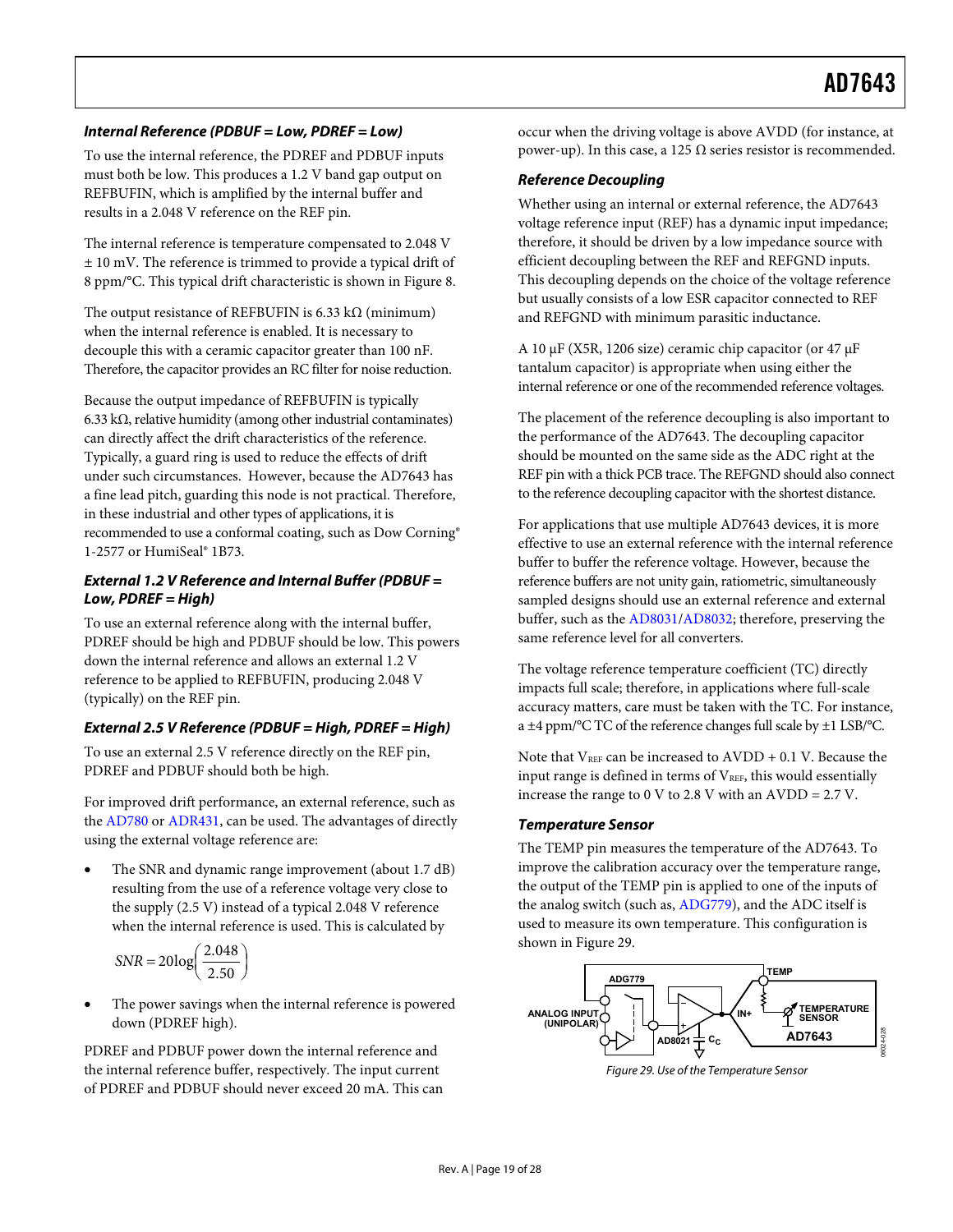### **Internal Reference (PDBUF = Low, PDREF = Low)**

To use the internal reference, the PDREF and PDBUF inputs must both be low. This produces a 1.2 V band gap output on REFBUFIN, which is amplified by the internal buffer and results in a 2.048 V reference on the REF pin.

The internal reference is temperature compensated to 2.048 V ± 10 mV. The reference is trimmed to provide a typical drift of [8](#page-2-3) ppm/°C. This typical drift characteristic is shown in [Figure 8](#page-11-1).

The output resistance of REFBUFIN is  $6.33 \text{ k}\Omega$  (minimum) when the internal reference is enabled. It is necessary to decouple this with a ceramic capacitor greater than 100 nF. Therefore, the capacitor provides an RC filter for noise reduction.

Because the output impedance of REFBUFIN is typically 6.33 kΩ, relative humidity (among other industrial contaminates) can directly affect the drift characteristics of the reference. Typically, a guard ring is used to reduce the effects of drift under such circumstances. However, because the AD7643 has a fine lead pitch, guarding this node is not practical. Therefore, in these industrial and other types of applications, it is recommended to use a conformal coating, such as Dow Corning® 1-2577 or HumiSeal® 1B73.

### **External 1.2 V Reference and Internal Buffer (PDBUF = Low, PDREF = High)**

To use an external reference along with the internal buffer, PDREF should be high and PDBUF should be low. This powers down the internal reference and allows an external 1.2 V reference to be applied to REFBUFIN, producing 2.048 V (typically) on the REF pin.

## **External 2.5 V Reference (PDBUF = High, PDREF = High)**

To use an external 2.5 V reference directly on the REF pin, PDREF and PDBUF should both be high.

<span id="page-18-0"></span>For improved drift performance, an external reference, such as the [AD780](http://www.analog.com/en/prod/0%2C2877%2CAD780%2C00.html) or [ADR431](http://www.analog.com/en/prod/0%2C2877%2CADR431%2C00.html), can be used. The advantages of directly using the external voltage reference are:

 The SNR and dynamic range improvement (about 1.7 dB) resulting from the use of a reference voltage very close to the supply (2.5 V) instead of a typical 2.048 V reference when the internal reference is used. This is calculated by

$$
SNR = 20\log\left(\frac{2.048}{2.50}\right)
$$

 The power savings when the internal reference is powered down (PDREF high).

<span id="page-18-1"></span>PDREF and PDBUF power down the internal reference and the internal reference buffer, respectively. The input current of PDREF and PDBUF should never exceed 20 mA. This can occur when the driving voltage is above AVDD (for instance, at power-up). In this case, a 125 Ω series resistor is recommended.

### **Reference Decoupling**

Whether using an internal or external reference, the AD7643 voltage reference input (REF) has a dynamic input impedance; therefore, it should be driven by a low impedance source with efficient decoupling between the REF and REFGND inputs. This decoupling depends on the choice of the voltage reference but usually consists of a low ESR capacitor connected to REF and REFGND with minimum parasitic inductance.

A 10 μF (X5R, 1206 size) ceramic chip capacitor (or 47 μF tantalum capacitor) is appropriate when using either the internal reference or one of the recommended reference voltages.

The placement of the reference decoupling is also important to the performance of the AD7643. The decoupling capacitor should be mounted on the same side as the ADC right at the REF pin with a thick PCB trace. The REFGND should also connect to the reference decoupling capacitor with the shortest distance.

For applications that use multiple AD7643 devices, it is more effective to use an external reference with the internal reference buffer to buffer the reference voltage. However, because the reference buffers are not unity gain, ratiometric, simultaneously sampled designs should use an external reference and external buffer, such as the [AD8031](http://www.analog.com/en/prod/0%2C2877%2CAD8031%2C00.html)[/AD8032](http://www.analog.com/en/prod/0%2C2877%2CAD8032%2C00.html); therefore, preserving the same reference level for all converters.

The voltage reference temperature coefficient (TC) directly impacts full scale; therefore, in applications where full-scale accuracy matters, care must be taken with the TC. For instance, a ±4 ppm/°C TC of the reference changes full scale by ±1 LSB/°C.

Note that  $V_{REF}$  can be increased to  $AVDD + 0.1$  V. Because the input range is defined in terms of  $V_{REF}$ , this would essentially increase the range to 0 V to 2.8 V with an AVDD = 2.7 V.

### **Temperature Sensor**

The TEMP pin measures the temperature of the AD7643. To improve the calibration accuracy over the temperature range, the output of the TEMP pin is applied to one of the inputs of the analog switch (such as, [ADG779](http://www.analog.com/en/prod/0%2C2877%2CADG779%2C00.html)), and the ADC itself is used to measure its own temperature. This configuration is shown in [Figure 29](#page-18-1).



Figure 29. Use of the Temperature Sensor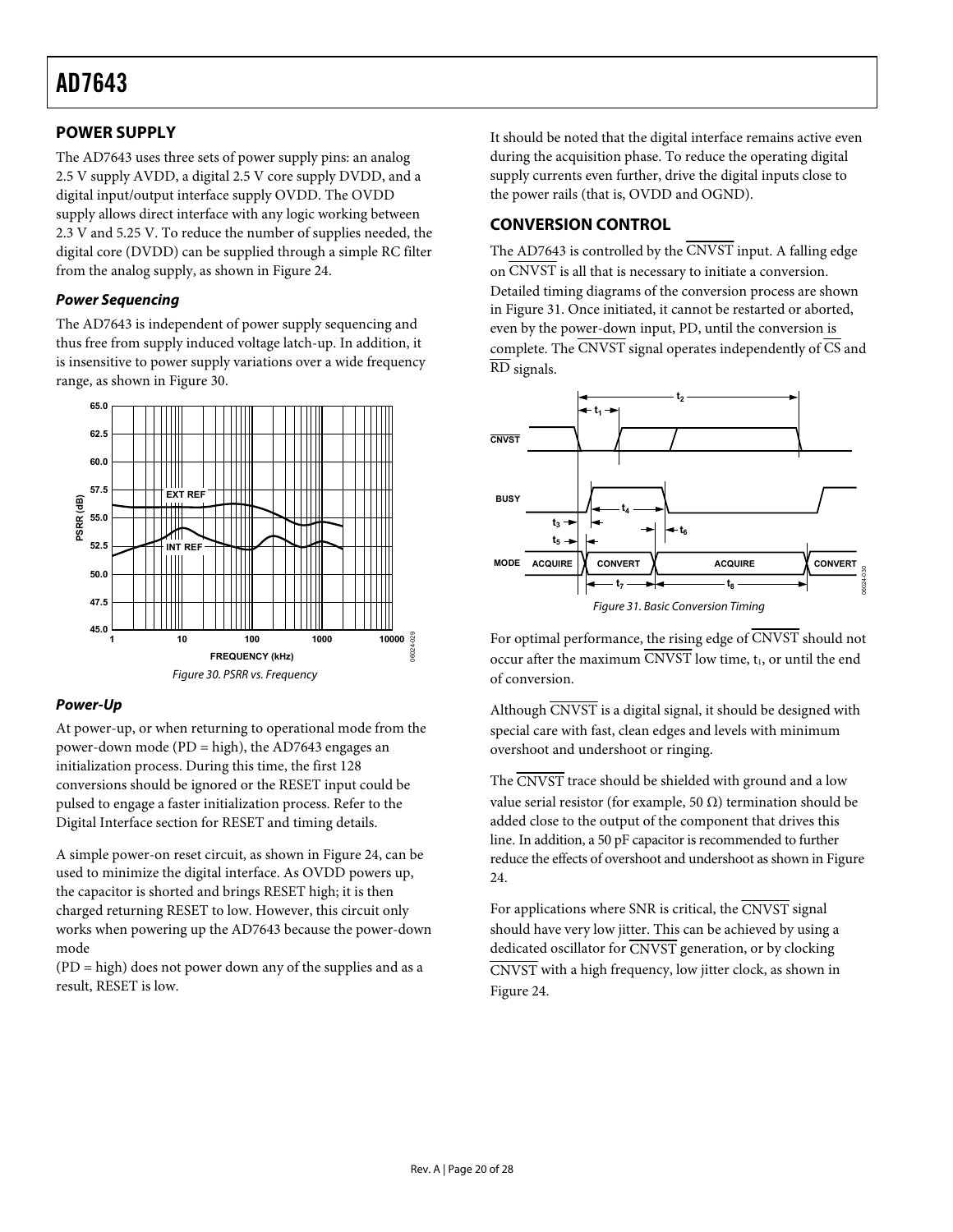## <span id="page-19-2"></span><span id="page-19-0"></span>**POWER SUPPLY**

The AD7643 uses three sets of power supply pins: an analog 2.5 V supply AVDD, a digital 2.5 V core supply DVDD, and a digital input/output interface supply OVDD. The OVDD supply allows direct interface with any logic working between 2.3 V and 5.25 V. To reduce the number of supplies needed, the digital core (DVDD) can be supplied through a simple RC filter from the analog supply, as shown in F[igure 24.](#page-15-5) 

### **Power Sequencing**

The AD7643 is independent of power supply sequencing and thus free from supply induced voltage latch-up. In addition, it is insensitive to power supply variations over a wide frequency range, as shown in [Figure 30](#page-19-3).



## <span id="page-19-3"></span><span id="page-19-1"></span>**Power-Up**

At power-up, or when returning to operational mode from the power-down mode (PD = high), the AD7643 engages an initialization process. During this time, the first 128 conversions should be ignored or the RESET input could be pulsed to engage a faster initialization process. R[efer to th](#page-20-4)e [Digital In](#page-20-4)terface section for RESET and timing details.

A simple power-on reset circuit, as shown in [Figure 24](#page-15-5), can be used to minimize the digital interface. As OVDD powers up, the capacitor is shorted and brings RESET high; it is then charged returning RESET to low. However, this circuit only works when powering up the AD7643 because the power-down mode

(PD = high) does not power down any of the supplies and as a result, RESET is low.

It should be noted that the digital interface remains active even during the acquisition phase. To reduce the operating digital supply currents even further, drive the digital inputs close to the power rails (that is, OVDD and OGND).

## **CONVERSION CONTROL**

The AD7643 is controlled by the  $\overline{\text{CNVST}}$  input. A falling edge on CNVST is all that is necessary to initiate a conversion. Detailed timing diagrams of the conversion process are shown in [Figure 31](#page-19-1). Once initiated, it cannot be restarted or aborted, even by the power-down input, PD, until the conversion is complete. The  $\overline{\text{CNVST}}$  signal operates independently of  $\overline{\text{CS}}$  and RD signals.



For optimal performance, the rising edge of CNVST should not occur after the maximum  $\overline{\text{CNVST}}$  low time,  $t_1$ , or until the end of conversion.

Although CNVST is a digital signal, it should be designed with special care with fast, clean edges and levels with minimum overshoot and undershoot or ringing.

The CNVST trace should be shielded with ground and a low value serial resistor (for example, 50 Ω) termination should be added close to the output of the component that drives this line. In addition, a 50 pF capacitor is recommended to further reduce the effects of overshoot and undershoot as shown i[n Figure](#page-15-5)  24.

For applications where SNR is critical, the  $\overline{\text{CNVST}}$  signal should have very low jitter. This can be achieved by using a dedicated oscillator for CNVST generation, [or by cloc](#page-15-5)king CNVST with a high frequency, low jitter clock, as shown in Figure 24.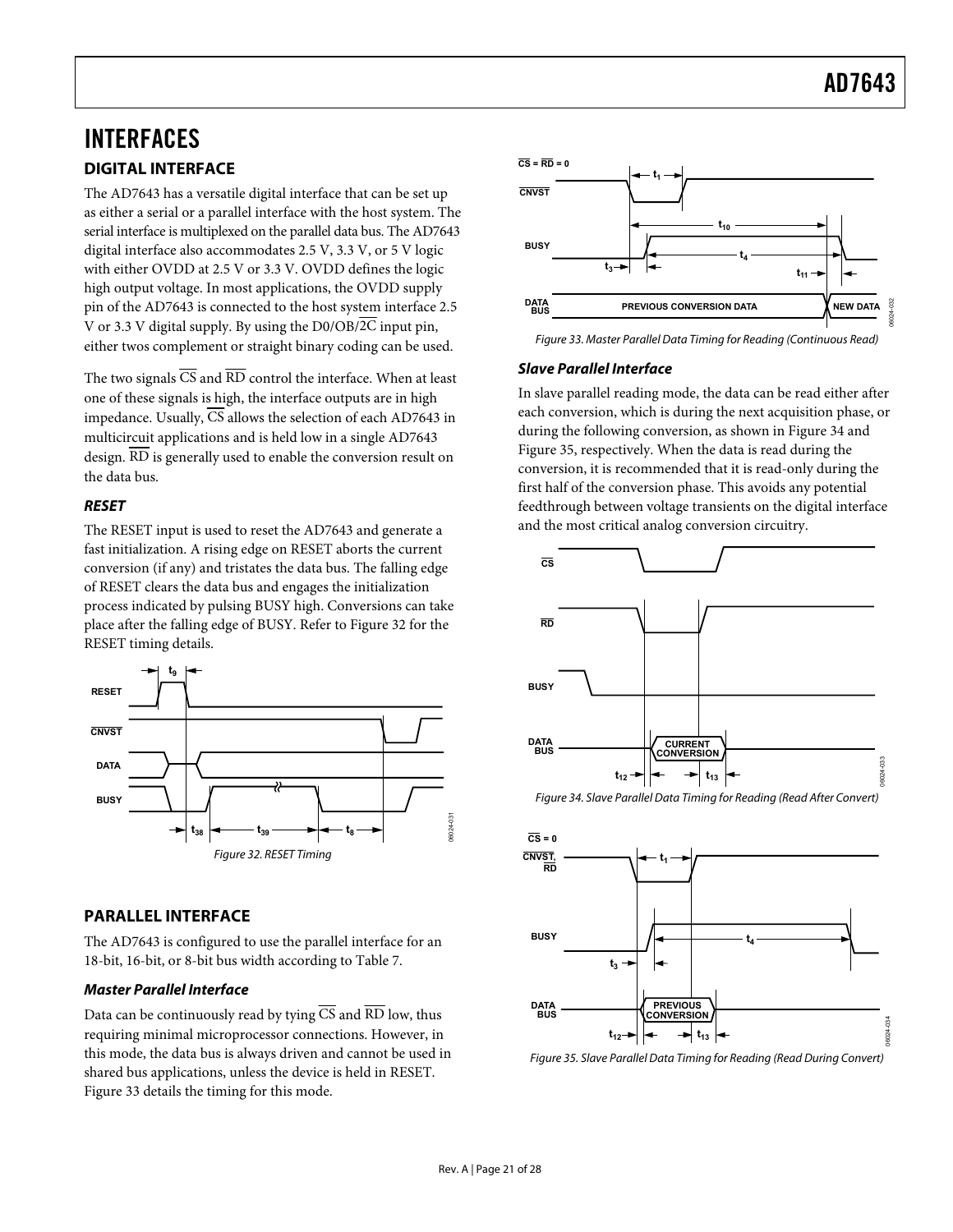## <span id="page-20-3"></span><span id="page-20-0"></span>INTERFACES **DIGITAL INTERFACE**

<span id="page-20-4"></span>The AD7643 has a versatile digital interface that can be set up as either a serial or a parallel interface with the host system. The serial interface is multiplexed on the parallel data bus. The AD7643 digital interface also accommodates 2.5 V, 3.3 V, or 5 V logic with either OVDD at 2.5 V or 3.3 V. OVDD defines the logic high output voltage. In most applications, the OVDD supply pin of the AD7643 is connected to the host system interface 2.5 V or 3.3 V digital supply. By using the  $D0/OB/\overline{2C}$  input pin, either twos complement or straight binary coding can be used.

<span id="page-20-2"></span>The two signals  $\overline{CS}$  and  $\overline{RD}$  control the interface. When at least one of these signals is high, the interface outputs are in high impedance. Usually, CS allows the selection of each AD7643 in multicircuit applications and is held low in a single AD7643 design. RD is generally used to enable the conversion result on the data bus.

## **RESET**

The RESET input is used to reset the AD7643 and generate a fast initialization. A rising edge on RESET aborts the current conversion (if any) and tristates the data bus. The falling edge of RESET clears the data bus and engages the initialization process indicated by pulsing BUSY high. Conversions can take place after the falling edge of BUSY. Refer to F[igure 32 fo](#page-20-1)r the RESET timing details.



## <span id="page-20-5"></span><span id="page-20-1"></span>**PARALLEL INTERFACE**

The AD7643 is configured to use the parallel interface for an 18-bit, 16-bit, or 8-bit bus width according to [Table 7](#page-9-1).

## **Master Parallel Interface**

<span id="page-20-6"></span>Data can be continuously read by tying  $\overline{CS}$  and  $\overline{RD}$  low, thus requiring minimal microprocessor connections. However, in this mode, the data bus is always driven and cannot be used in shared bus applications, unless the device is held in RESET. [Figure 33](#page-20-2) details the timing for this mode.



Figure 33. Master Parallel Data Timing for Reading (Continuous Read)

### **Slave Parallel Interface**

In slave parallel reading mode, the data can be read either after each conversion, which is during the next acquisition phase, or during the following conversion, as shown in [Figure 34](#page-20-5) and [Figure 35](#page-20-6), respectively. When the data is read during the conversion, it is recommended that it is read-only during the first half of the conversion phase. This avoids any potential feedthrough between voltage transients on the digital interface and the most critical analog conversion circuitry.



Figure 34. Slave Parallel Data Timing for Reading (Read After Convert)



Figure 35. Slave Parallel Data Timing for Reading (Read During Convert)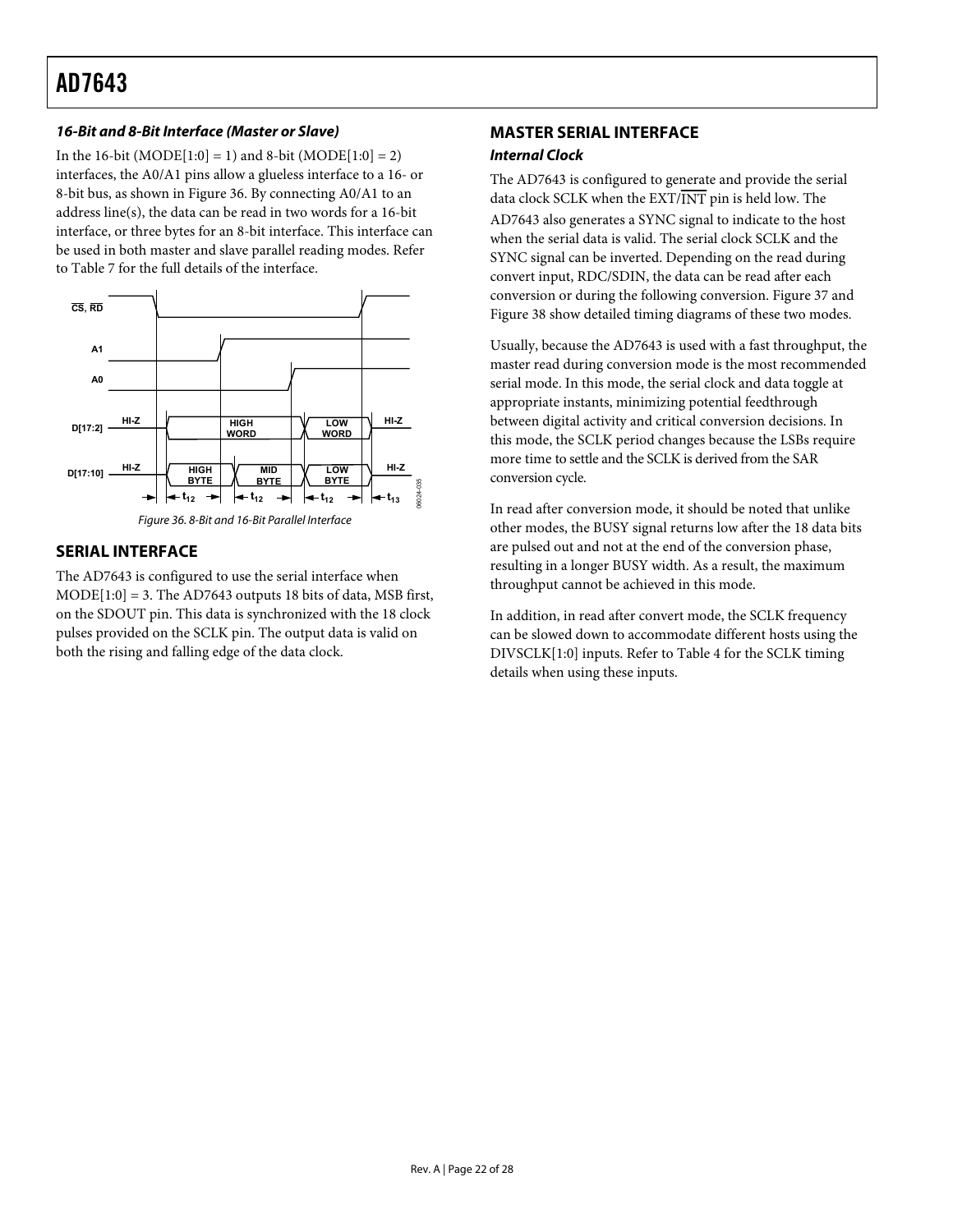## <span id="page-21-2"></span><span id="page-21-0"></span>**16-Bit and 8-Bit Interface (Master or Slave)**

In the 16-bit  $(MODE[1:0] = 1)$  and 8-bit  $(MODE[1:0] = 2)$ interfaces, the A0/A1 pins allow a glueless interface to a 16- or 8-bit bus, as shown in [Figure 36](#page-21-1). By connecting A0/A1 to an address line(s), the data can be read in two words for a 16-bit interface, or three bytes for an 8-bit interface. This interface can be used in both master and slave parallel reading modes. Refer to [Table 7](#page-9-1) for the full details of the interface.





## <span id="page-21-1"></span>**SERIAL INTERFACE**

The AD7643 is configured to use the serial interface when  $MODE[1:0] = 3$ . The AD7643 outputs 18 bits of data, MSB first, on the SDOUT pin. This data is synchronized with the 18 clock pulses provided on the SCLK pin. The output data is valid on both the rising and falling edge of the data clock.

## **MASTER SERIAL INTERFACE**

### **Internal Clock**

The AD7643 is configured to generate and provide the serial data clock SCLK when the EXT/INT pin is held low. The AD7643 also generates a SYNC signal to indicate to the host when the serial data is valid. The serial clock SCLK and the SYNC signal can be inverted. Depending on the read during convert input, RDC/SDIN, the data can be read after each conversion or during the following conversion. [Figure 37](#page-22-0) and [Figure 38](#page-22-1) show detailed timing diagrams of these two modes.

Usually, because the AD7643 is used with a fast throughput, the master read during conversion mode is the most recommended serial mode. In this mode, the serial clock and data toggle at appropriate instants, minimizing potential feedthrough between digital activity and critical conversion decisions. In this mode, the SCLK period changes because the LSBs require more time to settle and the SCLK is derived from the SAR conversion cycle.

In read after conversion mode, it should be noted that unlike other modes, the BUSY signal returns low after the 18 data bits are pulsed out and not at the end of the conversion phase, resulting in a longer BUSY width. As a result, the maximum throughput cannot be achieved in this mode.

In addition, in read after convert mode, the SCLK frequency can be slowed down to accommodate different hosts using the DIVSCLK[1:0] inputs. Refer to [Table 4](#page-5-0) for the SCLK timing details when using these inputs.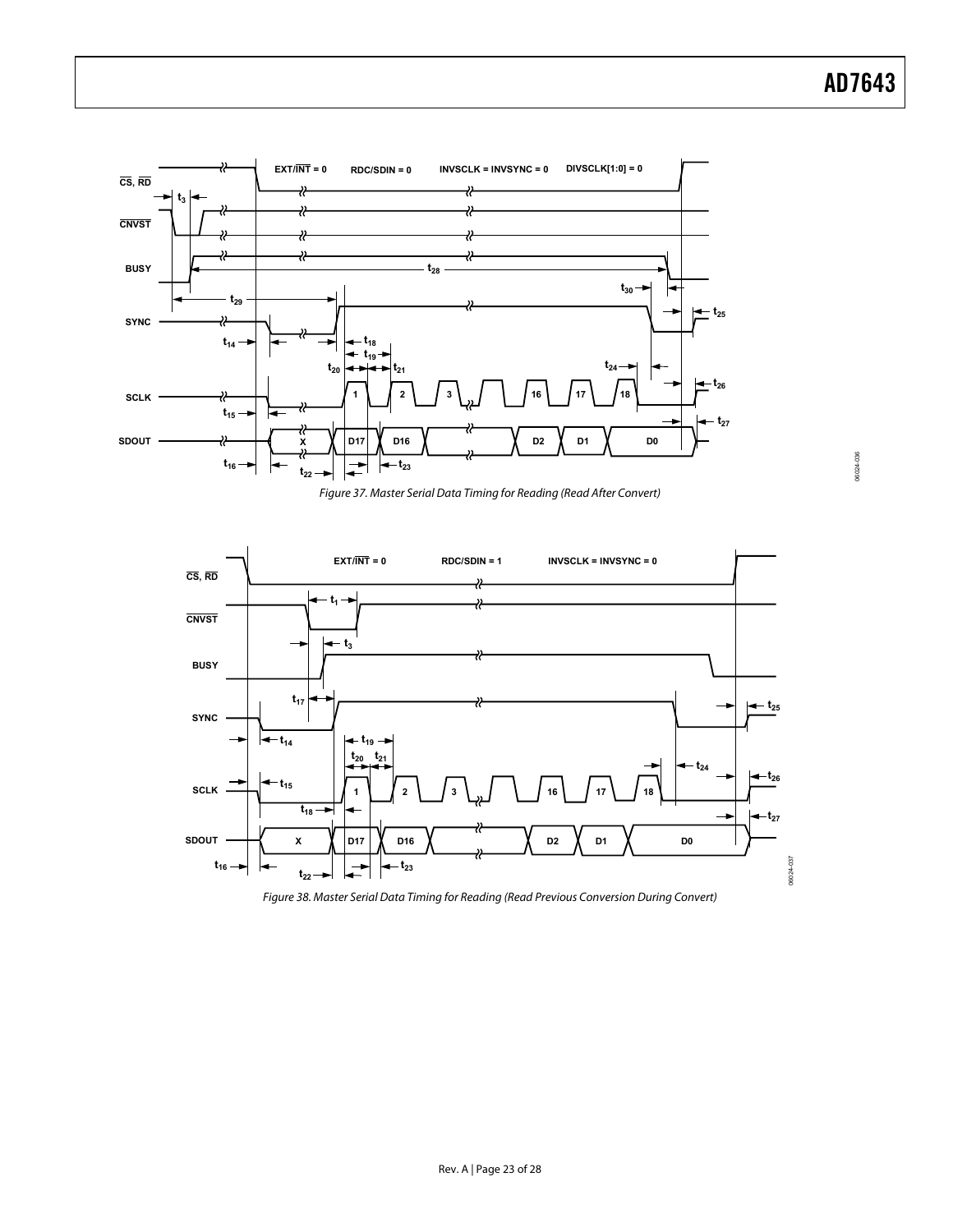06024-036

06024-036



Figure 37. Master Serial Data Timing for Reading (Read After Convert)

<span id="page-22-0"></span>

<span id="page-22-1"></span>Figure 38. Master Serial Data Timing for Reading (Read Previous Conversion During Convert)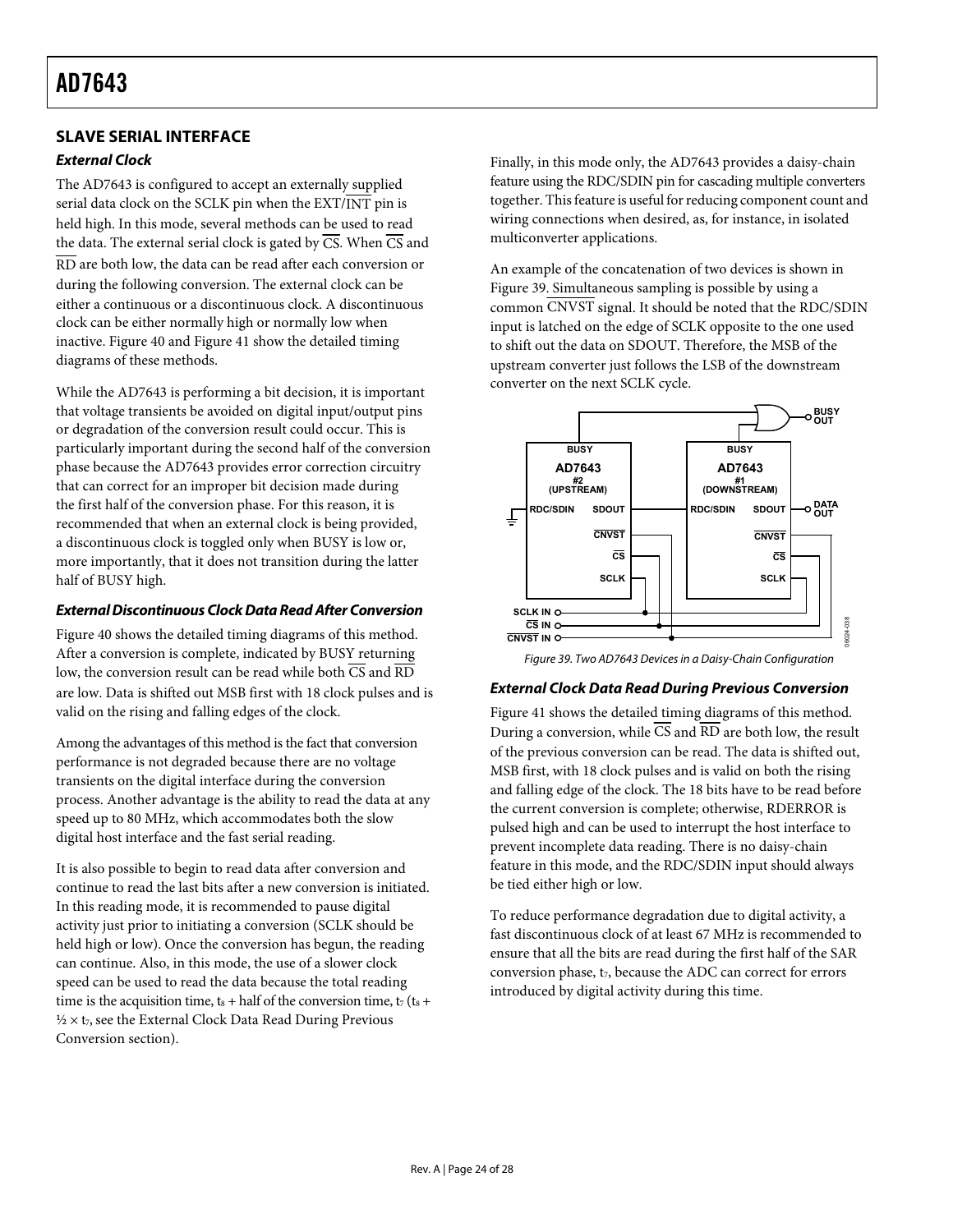## <span id="page-23-0"></span>**SLAVE SERIAL INTERFACE**

## **External Clock**

The AD7643 is configured to accept an externally supplied serial data clock on the SCLK pin when the EXT/INT pin is held high. In this mode, several methods can be used to read the data. The external serial clock is gated by  $\overline{CS}$ . When  $\overline{CS}$  and RD are both low, the data can be read after each conversion or during the following conversion. The external clock can be either a continuous or a discontinuous clock. A discontinuous clock can be either normally high or normally low when inactive. [Figure 40](#page-24-0) and [Figure 41](#page-24-1) show the detailed timing diagrams of these methods.

While the AD7643 is performing a bit decision, it is important that voltage transients be avoided on digital input/output pins or degradation of the conversion result could occur. This is particularly important during the second half of the conversion phase because the AD7643 provides error correction circuitry that can correct for an improper bit decision made during the first half of the conversion phase. For this reason, it is recommended that when an external clock is being provided, a discontinuous clock is toggled only when BUSY is low or, more importantly, that it does not transition during the latter half of BUSY high.

## **External Discontinuous Clock Data Read After Conversion**

<span id="page-23-2"></span><span id="page-23-1"></span>[Figure 40](#page-24-0) shows the detailed timing diagrams of this method. After a conversion is complete, indicated by BUSY returning low, the conversion result can be read while both  $\overline{CS}$  and  $\overline{RD}$ are low. Data is shifted out MSB first with 18 clock pulses and is valid on the rising and falling edges of the clock.

Among the advantages of this method is the fact that conversion performance is not degraded because there are no voltage transients on the digital interface during the conversion process. Another advantage is the ability to read the data at any speed up to 80 MHz, which accommodates both the slow digital host interface and the fast serial reading.

It is also possible to begin to read data after conversion and continue to read the last bits after a new conversion is initiated. In this reading mode, it is recommended to pause digital activity just prior to initiating a conversion (SCLK should be held high or low). Once the conversion has begun, the reading can continue. Also, in this mode, the use of a slower clock speed can be used to read the data because the total reading time is the acquisition time,  $t_8$  + half of the conversion time,  $t_7$  ( $t_8$  +  $\frac{1}{2} \times t_7$ , see the External Clock Data Read During Previous Conversion section).

Finally, in this mode only, the AD7643 provides a daisy-chain feature using the RDC/SDIN pin for cascading multiple converters together. This feature is useful for reducing component count and wiring connections when desired, as, for instance, in isolated multiconverter applications.

An example of the concatenation of two devices is shown in [Figure 39](#page-23-2). Simultaneous sampling is possible by using a common CNVST signal. It should be noted that the RDC/SDIN input is latched on the edge of SCLK opposite to the one used to shift out the data on SDOUT. Therefore, the MSB of the upstream converter just follows the LSB of the downstream converter on the next SCLK cycle.



Figure 39. Two AD7643 Devices in a Daisy-Chain Configuration

### **External Clock Data Read During Previous Conversion**

[Figure 41](#page-24-1) shows the detailed timing diagrams of this method. During a conversion, while CS and RD are both low, the result of the previous conversion can be read. The data is shifted out, MSB first, with 18 clock pulses and is valid on both the rising and falling edge of the clock. The 18 bits have to be read before the current conversion is complete; otherwise, RDERROR is pulsed high and can be used to interrupt the host interface to prevent incomplete data reading. There is no daisy-chain feature in this mode, and the RDC/SDIN input should always be tied either high or low.

To reduce performance degradation due to digital activity, a fast discontinuous clock of at least 67 MHz is recommended to ensure that all the bits are read during the first half of the SAR conversion phase,  $t_7$ , because the ADC can correct for errors introduced by digital activity during this time.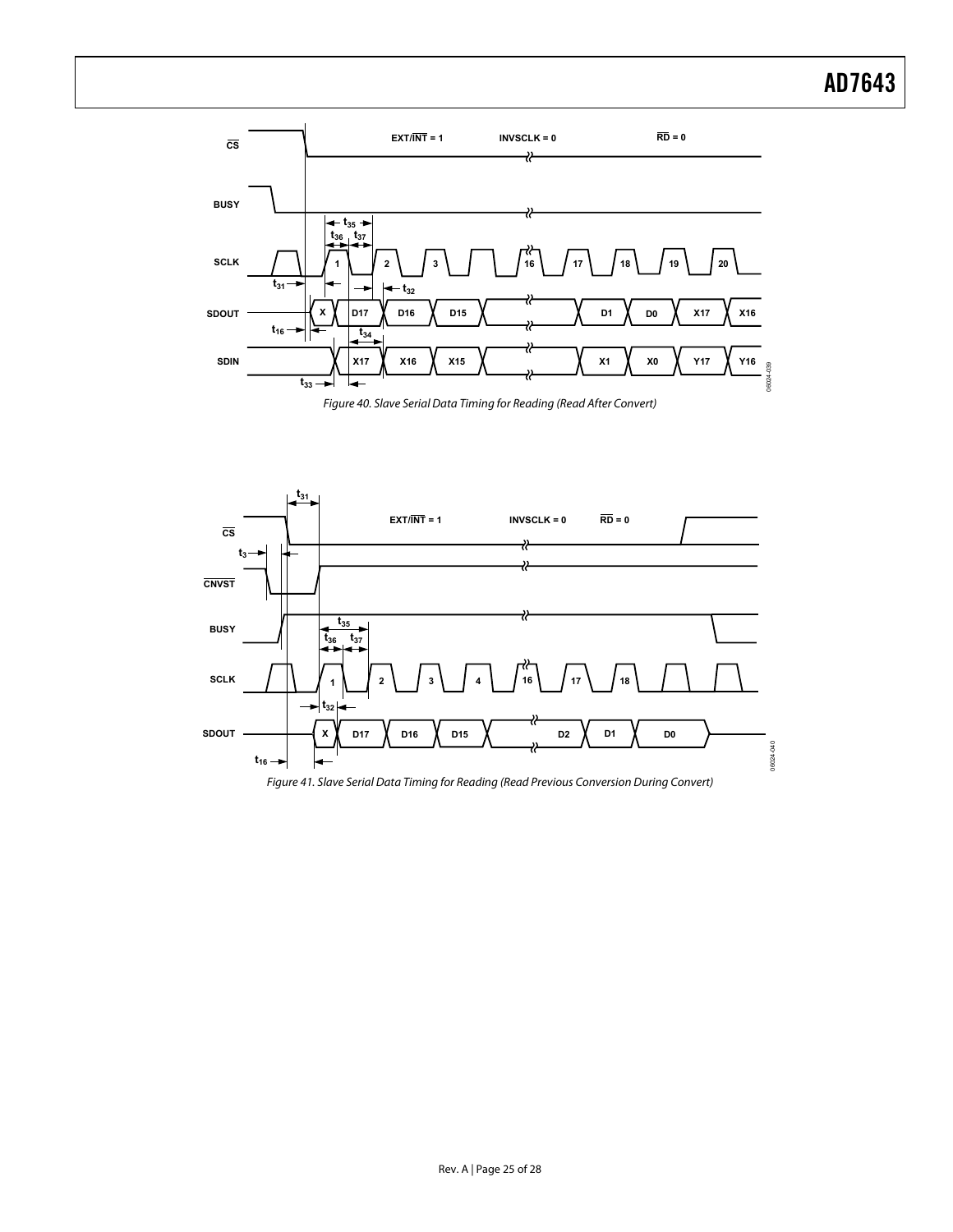

Figure 40. Slave Serial Data Timing for Reading (Read After Convert)

<span id="page-24-0"></span>

<span id="page-24-1"></span>Figure 41. Slave Serial Data Timing for Reading (Read Previous Conversion During Convert)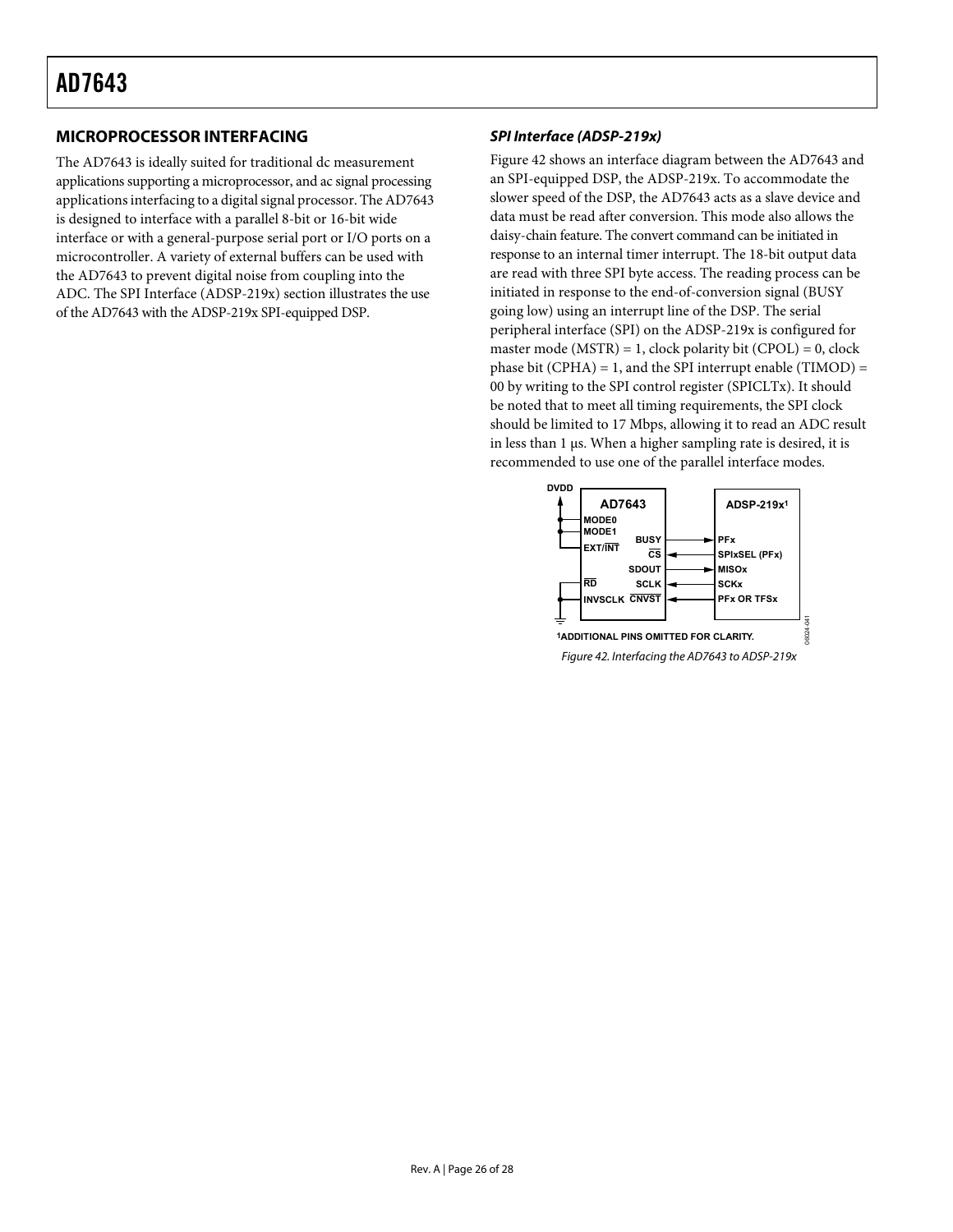## <span id="page-25-1"></span><span id="page-25-0"></span>**MICROPROCESSOR INTERFACING**

<span id="page-25-2"></span>The AD7643 is ideally suited for traditional dc measurement applications supporting a microprocessor, and ac signal processing applications interfacing to a digital signal processor. The AD7643 is designed to interface with a parallel 8-bit or 16-bit wide interface or with a general-purpose serial port or I/O ports on a microcontroller. A variety of external buffers can be used with the AD7643 to prevent digital noise from coupling into the ADC. The [SPI Interface \(ADSP-219x\)](#page-25-1) section illustrates the use of the AD7643 with the ADSP-219x SPI-equipped DSP.

### **SPI Interface (ADSP-219x)**

[Figure 42](#page-25-2) shows an interface diagram between the AD7643 and an SPI-equipped DSP, the ADSP-219x. To accommodate the slower speed of the DSP, the AD7643 acts as a slave device and data must be read after conversion. This mode also allows the daisy-chain feature. The convert command can be initiated in response to an internal timer interrupt. The 18-bit output data are read with three SPI byte access. The reading process can be initiated in response to the end-of-conversion signal (BUSY going low) using an interrupt line of the DSP. The serial peripheral interface (SPI) on the ADSP-219x is configured for master mode ( $MSTR$ ) = 1, clock polarity bit (CPOL) = 0, clock phase bit (CPHA) = 1, and the SPI interrupt enable (TIMOD) = 00 by writing to the SPI control register (SPICLTx). It should be noted that to meet all timing requirements, the SPI clock should be limited to 17 Mbps, allowing it to read an ADC result in less than 1 μs. When a higher sampling rate is desired, it is recommended to use one of the parallel interface modes.



Figure 42. Interfacing the AD7643 to ADSP-219x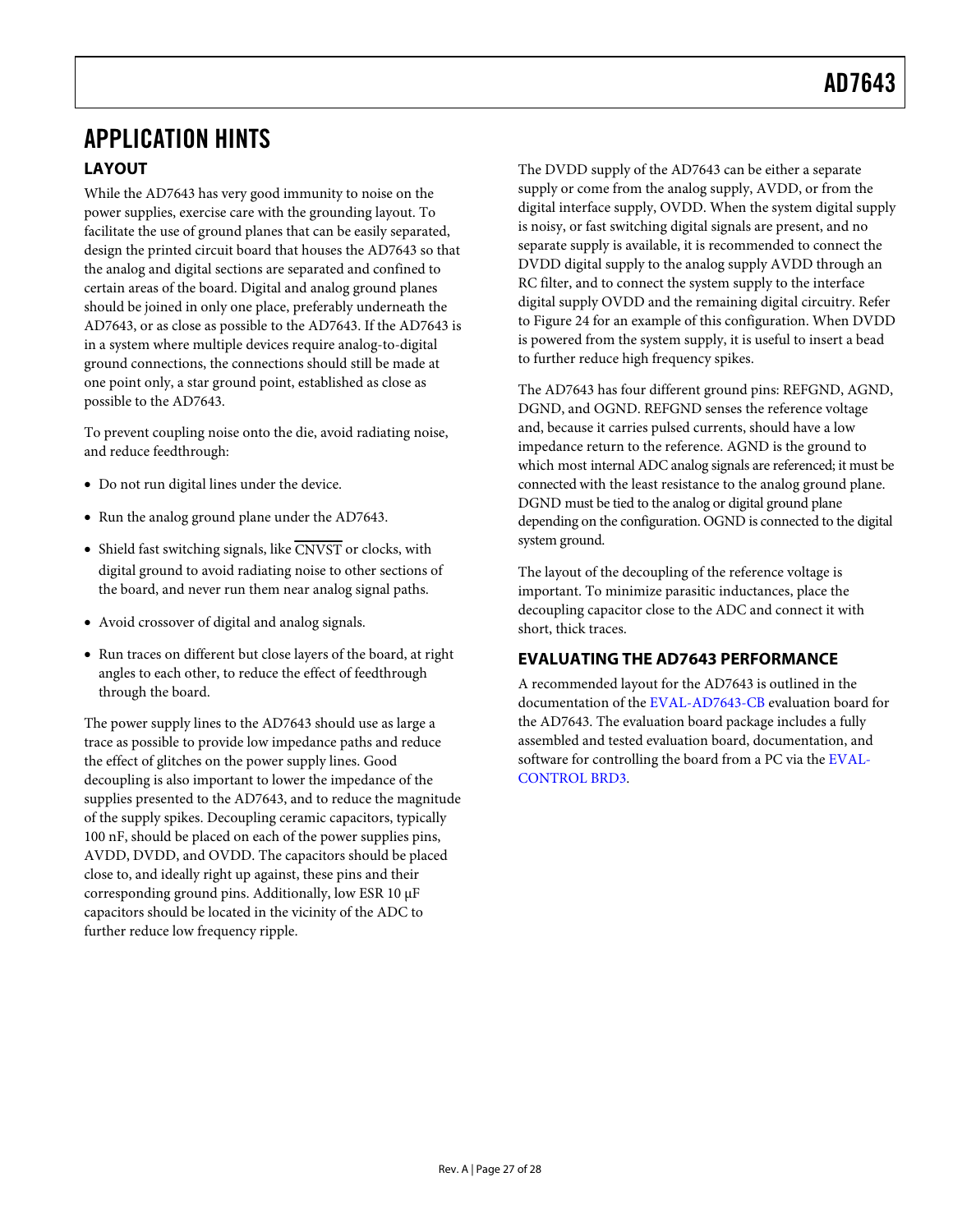## <span id="page-26-0"></span>APPLICATION HINTS **LAYOUT**

While the AD7643 has very good immunity to noise on the power supplies, exercise care with the grounding layout. To facilitate the use of ground planes that can be easily separated, design the printed circuit board that houses the AD7643 so that the analog and digital sections are separated and confined to certain areas of the board. Digital and analog ground planes should be joined in only one place, preferably underneath the AD7643, or as close as possible to the AD7643. If the AD7643 is in a system where multiple devices require analog-to-digital ground connections, the connections should still be made at one point only, a star ground point, established as close as possible to the AD7643.

To prevent coupling noise onto the die, avoid radiating noise, and reduce feedthrough:

- Do not run digital lines under the device.
- Run the analog ground plane under the AD7643.
- $\bullet$  Shield fast switching signals, like CNVST or clocks, with digital ground to avoid radiating noise to other sections of the board, and never run them near analog signal paths.
- Avoid crossover of digital and analog signals.
- Run traces on different but close layers of the board, at right angles to each other, to reduce the effect of feedthrough through the board.

The power supply lines to the AD7643 should use as large a trace as possible to provide low impedance paths and reduce the effect of glitches on the power supply lines. Good decoupling is also important to lower the impedance of the supplies presented to the AD7643, and to reduce the magnitude of the supply spikes. Decoupling ceramic capacitors, typically 100 nF, should be placed on each of the power supplies pins, AVDD, DVDD, and OVDD. The capacitors should be placed close to, and ideally right up against, these pins and their corresponding ground pins. Additionally, low ESR 10 μF capacitors should be located in the vicinity of the ADC to further reduce low frequency ripple.

The DVDD supply of the AD7643 can be either a separate supply or come from the analog supply, AVDD, or from the digital interface supply, OVDD. When the system digital supply is noisy, or fast switching digital signals are present, and no separate supply is available, it is recommended to connect the DVDD digital supply to the analog supply AVDD through an RC filter, and to connect the system supply to the interface digital supply OVDD and the remaining digital circuitry. Refer to [Figure 24](#page-15-5) for an example of this configuration. When DVDD is powered from the system supply, it is useful to insert a bead to further reduce high frequency spikes.

The AD7643 has four different ground pins: REFGND, AGND, DGND, and OGND. REFGND senses the reference voltage and, because it carries pulsed currents, should have a low impedance return to the reference. AGND is the ground to which most internal ADC analog signals are referenced; it must be connected with the least resistance to the analog ground plane. DGND must be tied to the analog or digital ground plane depending on the configuration. OGND is connected to the digital system ground.

The layout of the decoupling of the reference voltage is important. To minimize parasitic inductances, place the decoupling capacitor close to the ADC and connect it with short, thick traces.

## **EVALUATING THE AD7643 PERFORMANCE**

A recommended layout for the AD7643 is outlined in the documentation of the [EVAL-AD7643-CB](http://www.analog.com/en/prod/0%2C2877%2CAD7641%2C00.html) evaluation board for the AD7643. The evaluation board package includes a fully assembled and tested evaluation board, documentation, and software for controlling the board from a PC via the [EVAL-](http://www.analog.com/UploadedFiles/Evaluation_Boards_Tools/3044833328613EvalBoardController.pdf)[CONTROL BRD3.](http://www.analog.com/UploadedFiles/Evaluation_Boards_Tools/3044833328613EvalBoardController.pdf)